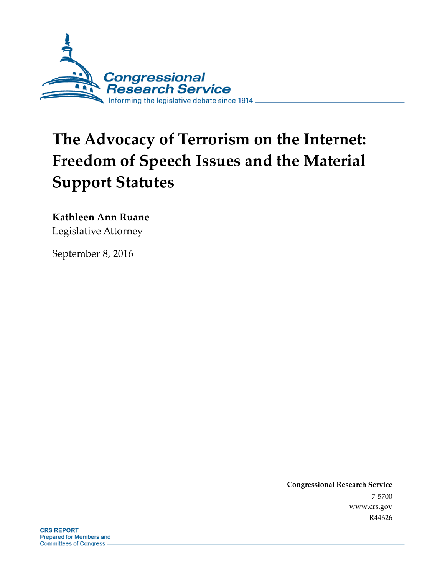

# **The Advocacy of Terrorism on the Internet: Freedom of Speech Issues and the Material Support Statutes**

#### **Kathleen Ann Ruane**

Legislative Attorney

September 8, 2016

**Congressional Research Service** 7-5700 www.crs.gov R44626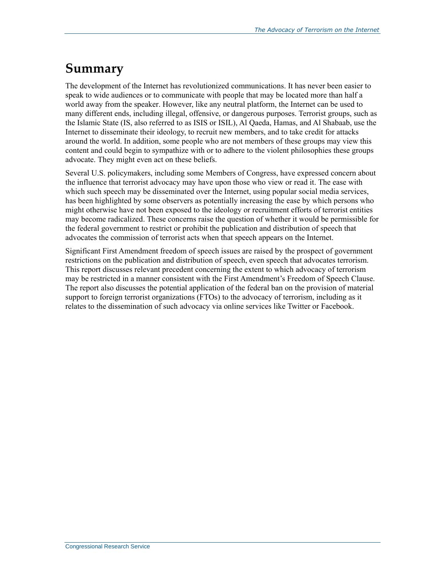### **Summary**

The development of the Internet has revolutionized communications. It has never been easier to speak to wide audiences or to communicate with people that may be located more than half a world away from the speaker. However, like any neutral platform, the Internet can be used to many different ends, including illegal, offensive, or dangerous purposes. Terrorist groups, such as the Islamic State (IS, also referred to as ISIS or ISIL), Al Qaeda, Hamas, and Al Shabaab, use the Internet to disseminate their ideology, to recruit new members, and to take credit for attacks around the world. In addition, some people who are not members of these groups may view this content and could begin to sympathize with or to adhere to the violent philosophies these groups advocate. They might even act on these beliefs.

Several U.S. policymakers, including some Members of Congress, have expressed concern about the influence that terrorist advocacy may have upon those who view or read it. The ease with which such speech may be disseminated over the Internet, using popular social media services, has been highlighted by some observers as potentially increasing the ease by which persons who might otherwise have not been exposed to the ideology or recruitment efforts of terrorist entities may become radicalized. These concerns raise the question of whether it would be permissible for the federal government to restrict or prohibit the publication and distribution of speech that advocates the commission of terrorist acts when that speech appears on the Internet.

Significant First Amendment freedom of speech issues are raised by the prospect of government restrictions on the publication and distribution of speech, even speech that advocates terrorism. This report discusses relevant precedent concerning the extent to which advocacy of terrorism may be restricted in a manner consistent with the First Amendment's Freedom of Speech Clause. The report also discusses the potential application of the federal ban on the provision of material support to foreign terrorist organizations (FTOs) to the advocacy of terrorism, including as it relates to the dissemination of such advocacy via online services like Twitter or Facebook.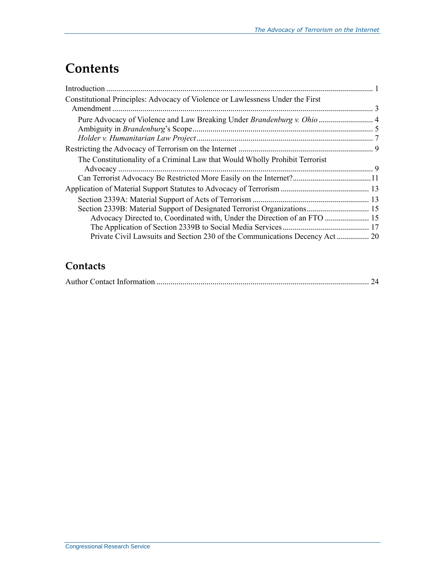## **Contents**

| Constitutional Principles: Advocacy of Violence or Lawlessness Under the First |  |
|--------------------------------------------------------------------------------|--|
|                                                                                |  |
|                                                                                |  |
| The Constitutionality of a Criminal Law that Would Wholly Prohibit Terrorist   |  |
|                                                                                |  |
|                                                                                |  |
|                                                                                |  |
| Section 2339B: Material Support of Designated Terrorist Organizations 15       |  |
| Advocacy Directed to, Coordinated with, Under the Direction of an FTO  15      |  |
|                                                                                |  |
| Private Civil Lawsuits and Section 230 of the Communications Decency Act  20   |  |

### **Contacts**

|--|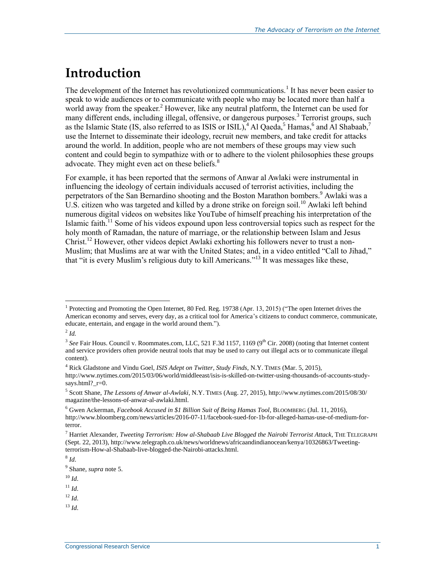### **Introduction**

<span id="page-3-3"></span><span id="page-3-2"></span><span id="page-3-1"></span><span id="page-3-0"></span>The development of the Internet has revolutionized communications.<sup>1</sup> It has never been easier to speak to wide audiences or to communicate with people who may be located more than half a world away from the speaker.<sup>2</sup> However, like any neutral platform, the Internet can be used for many different ends, including illegal, offensive, or dangerous purposes.<sup>3</sup> Terrorist groups, such as the Islamic State (IS, also referred to as ISIS or ISIL),  $^{4}$  Al Qaeda,  $^{5}$  Hamas,  $^{6}$  and Al Shabaab,  $^{7}$ use the Internet to disseminate their ideology, recruit new members, and take credit for attacks around the world. In addition, people who are not members of these groups may view such content and could begin to sympathize with or to adhere to the violent philosophies these groups advocate. They might even act on these beliefs.<sup>8</sup>

For example, it has been reported that the sermons of Anwar al Awlaki were instrumental in influencing the ideology of certain individuals accused of terrorist activities, including the perpetrators of the San Bernardino shooting and the Boston Marathon bombers.<sup>9</sup> Awlaki was a U.S. citizen who was targeted and killed by a drone strike on foreign soil.<sup>10</sup> Awlaki left behind numerous digital videos on websites like YouTube of himself preaching his interpretation of the Islamic faith.<sup>11</sup> Some of his videos expound upon less controversial topics such as respect for the holy month of Ramadan, the nature of marriage, or the relationship between Islam and Jesus Christ.<sup>12</sup> However, other videos depict Awlaki exhorting his followers never to trust a non-Muslim; that Muslims are at war with the United States; and, in a video entitled "Call to Jihad," that "it is every Muslim's religious duty to kill Americans."<sup>13</sup> It was messages like these,

2 *Id.*

 $\overline{a}$ 

 $11$  *Id.* 

 $^{12}$  *Id.* 

 $^{13}$  *Id*.

<sup>&</sup>lt;sup>1</sup> Protecting and Promoting the Open Internet, 80 Fed. Reg. 19738 (Apr. 13, 2015) ("The open Internet drives the American economy and serves, every day, as a critical tool for America's citizens to conduct commerce, communicate, educate, entertain, and engage in the world around them.").

<sup>&</sup>lt;sup>3</sup> See Fair Hous. Council v. Roommates.com, LLC, 521 F.3d 1157, 1169 (9<sup>th</sup> Cir. 2008) (noting that Internet content and service providers often provide neutral tools that may be used to carry out illegal acts or to communicate illegal content).

<sup>4</sup> Rick Gladstone and Vindu Goel*, ISIS Adept on Twitter, Study Finds*, N.Y. TIMES (Mar. 5, 2015), http://www.nytimes.com/2015/03/06/world/middleeast/isis-is-skilled-on-twitter-using-thousands-of-accounts-studysays.html?\_r=0.

<sup>5</sup> Scott Shane, *The Lessons of Anwar al-Awlaki*, N.Y. TIMES (Aug. 27, 2015), http://www.nytimes.com/2015/08/30/ magazine/the-lessons-of-anwar-al-awlaki.html.

<sup>6</sup> Gwen Ackerman, *Facebook Accused in \$1 Billion Suit of Being Hamas Tool*, BLOOMBERG (Jul. 11, 2016), http://www.bloomberg.com/news/articles/2016-07-11/facebook-sued-for-1b-for-alleged-hamas-use-of-medium-forterror.

<sup>7</sup> Harriet Alexander, *Tweeting Terrorism: How al-Shabaab Live Blogged the Nairobi Terrorist Attack*, THE TELEGRAPH (Sept. 22, 2013), http://www.telegraph.co.uk/news/worldnews/africaandindianocean/kenya/10326863/Tweetingterrorism-How-al-Shabaab-live-blogged-the-Nairobi-attacks.html.

<sup>8</sup> *Id*.

<sup>9</sup> Shane, *supra* note [5.](#page-3-0)

 $10 \,$ *Id*.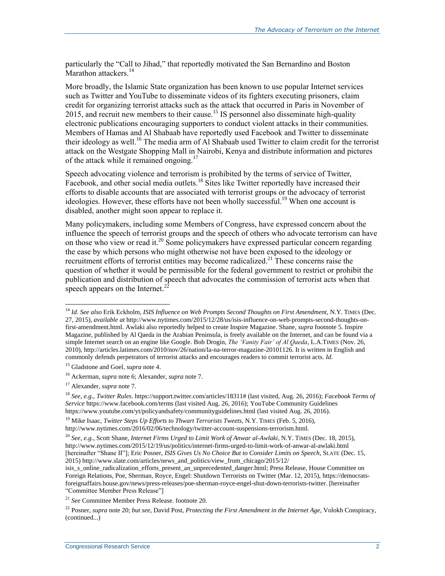<span id="page-4-1"></span>particularly the "Call to Jihad," that reportedly motivated the San Bernardino and Boston Marathon attackers.<sup>14</sup>

More broadly, the Islamic State organization has been known to use popular Internet services such as Twitter and YouTube to disseminate videos of its fighters executing prisoners, claim credit for organizing terrorist attacks such as the attack that occurred in Paris in November of 2015, and recruit new members to their cause.<sup>15</sup> IS personnel also disseminate high-quality electronic publications encouraging supporters to conduct violent attacks in their communities. Members of Hamas and Al Shabaab have reportedly used Facebook and Twitter to disseminate their ideology as well.<sup>16</sup> The media arm of Al Shabaab used Twitter to claim credit for the terrorist attack on the Westgate Shopping Mall in Nairobi, Kenya and distribute information and pictures of the attack while it remained ongoing.<sup>17</sup>

Speech advocating violence and terrorism is prohibited by the terms of service of Twitter, Facebook, and other social media outlets.<sup>18</sup> Sites like Twitter reportedly have increased their efforts to disable accounts that are associated with terrorist groups or the advocacy of terrorist ideologies. However, these efforts have not been wholly successful.<sup>19</sup> When one account is disabled, another might soon appear to replace it.

<span id="page-4-0"></span>Many policymakers, including some Members of Congress, have expressed concern about the influence the speech of terrorist groups and the speech of others who advocate terrorism can have on those who view or read it.<sup>20</sup> Some policymakers have expressed particular concern regarding the ease by which persons who might otherwise not have been exposed to the ideology or recruitment efforts of terrorist entities may become radicalized.<sup>21</sup> These concerns raise the question of whether it would be permissible for the federal government to restrict or prohibit the publication and distribution of speech that advocates the commission of terrorist acts when that speech appears on the Internet. $2\overline{2}$ 

<sup>14</sup> *Id*. *See also* Erik Eckholm, *ISIS Influence on Web Prompts Second Thoughts on First Amendment*, N.Y. TIMES (Dec. 27, 2015), *available at* http://www.nytimes.com/2015/12/28/us/isis-influence-on-web-prompts-second-thoughts-onfirst-amendment.html. Awlaki also reportedly helped to create Inspire Magazine. Shane, *supra* footnot[e 5.](#page-3-0) Inspire Magazine, published by Al Qaeda in the Arabian Peninsula, is freely available on the Internet, and can be found via a simple Internet search on an engine like Google. Bob Drogin, *The 'Vanity Fair' of Al Qaeda*, L.A.TIMES (Nov. 26, 2010), http://articles.latimes.com/2010/nov/26/nation/la-na-terror-magazine-20101126. It is written in English and commonly defends perpetrators of terrorist attacks and encourages readers to commit terrorist acts. *Id*.

<sup>15</sup> Gladstone and Goel*, supra* not[e 4.](#page-3-1)

<sup>16</sup> Ackerman, *supra* not[e 6;](#page-3-2) Alexander, *supra* not[e 7.](#page-3-3)

<sup>17</sup> Alexander, *supra* not[e 7.](#page-3-3)

<sup>18</sup> *See*, *e.g.*, *Twitter Rules*. https://support.twitter.com/articles/18311# (last visited, Aug. 26, 2016); *Facebook Terms of Service* https://www.facebook.com/terms (last visited Aug. 26, 2016); YouTube Community Guidelines https://www.youtube.com/yt/policyandsafety/communityguidelines.html (last visited Aug. 26, 2016).

<sup>&</sup>lt;sup>19</sup> Mike Isaac, *Twitter Steps Up Efforts to Thwart Terrorists Tweets*, N.Y. TIMES (Feb. 5, 2016), http://www.nytimes.com/2016/02/06/technology/twitter-account-suspensions-terrorism.html.

<sup>20</sup> *See*, *e.g.*, Scott Shane, *Internet Firms Urged to Limit Work of Anwar al-Awlaki*, N.Y. TIMES (Dec. 18, 2015), http://www.nytimes.com/2015/12/19/us/politics/internet-firms-urged-to-limit-work-of-anwar-al-awlaki.html [hereinafter "Shane II"]; Eric Posner, *ISIS Gives Us No Choice But to Consider Limits on Speech*, SLATE (Dec. 15, 2015) http://www.slate.com/articles/news\_and\_politics/view\_from\_chicago/2015/12/

isis\_s\_online\_radicalization\_efforts\_present\_an\_unprecedented\_danger.html; Press Release, House Committee on Foreign Relations, Poe, Sherman, Royce, Engel: Shutdown Terrorists on Twitter (Mar. 12, 2015), https://democratsforeignaffairs.house.gov/news/press-releases/poe-sherman-royce-engel-shut-down-terrorists-twitter. [hereinafter "Committee Member Press Release"]

<sup>21</sup> *See* Committee Member Press Release. footnote [20.](#page-4-0)

<sup>22</sup> Posner, *supra* note [20;](#page-4-0) *but see*, David Post, *Protecting the First Amendment in the Internet Age*, Volokh Conspiracy, (continued...)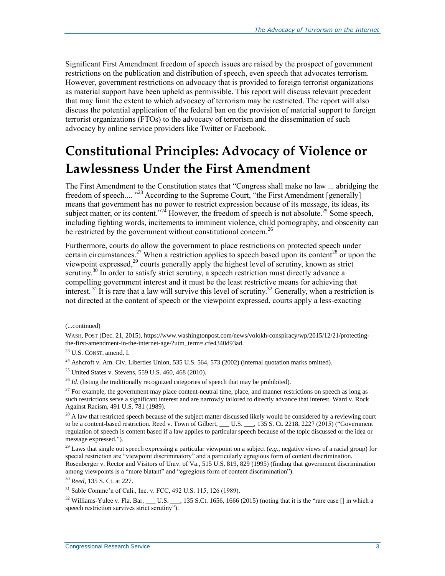Significant First Amendment freedom of speech issues are raised by the prospect of government restrictions on the publication and distribution of speech, even speech that advocates terrorism. However, government restrictions on advocacy that is provided to foreign terrorist organizations as material support have been upheld as permissible. This report will discuss relevant precedent that may limit the extent to which advocacy of terrorism may be restricted. The report will also discuss the potential application of the federal ban on the provision of material support to foreign terrorist organizations (FTOs) to the advocacy of terrorism and the dissemination of such advocacy by online service providers like Twitter or Facebook.

## **Constitutional Principles: Advocacy of Violence or Lawlessness Under the First Amendment**

The First Amendment to the Constitution states that "Congress shall make no law ... abridging the freedom of speech.... "<sup>23</sup> According to the Supreme Court, "the First Amendment [generally] means that government has no power to restrict expression because of its message, its ideas, its subject matter, or its content."<sup>24</sup> However, the freedom of speech is not absolute.<sup>25</sup> Some speech, including fighting words, incitements to imminent violence, child pornography, and obscenity can be restricted by the government without constitutional concern.<sup>26</sup>

Furthermore, courts do allow the government to place restrictions on protected speech under certain circumstances.<sup>27</sup> When a restriction applies to speech based upon its content<sup>28</sup> or upon the viewpoint expressed, <sup>29</sup> courts generally apply the highest level of scrutiny, known as strict scrutiny.<sup>30</sup> In order to satisfy strict scrutiny, a speech restriction must directly advance a compelling government interest and it must be the least restrictive means for achieving that interest.<sup>31</sup> It is rare that a law will survive this level of scrutiny.<sup>32</sup> Generally, when a restriction is not directed at the content of speech or the viewpoint expressed, courts apply a less-exacting

<sup>(...</sup>continued)

WASH. POST (Dec. 21, 2015), https://www.washingtonpost.com/news/volokh-conspiracy/wp/2015/12/21/protectingthe-first-amendment-in-the-internet-age/?utm\_term=.cfe4340d93ad.

<sup>23</sup> U.S. CONST. amend. I.

<sup>&</sup>lt;sup>24</sup> Ashcroft v. Am. Civ. Liberties Union, 535 U.S. 564, 573 (2002) (internal quotation marks omitted).

 $25$  United States v. Stevens, 559 U.S. 460, 468 (2010).

 $^{26}$  *Id.* (listing the traditionally recognized categories of speech that may be prohibited).

 $27$  For example, the government may place content-neutral time, place, and manner restrictions on speech as long as such restrictions serve a significant interest and are narrowly tailored to directly advance that interest. Ward v. Rock Against Racism, 491 U.S. 781 (1989).

 $^{28}$  A law that restricted speech because of the subject matter discussed likely would be considered by a reviewing court to be a content-based restriction. Reed v. Town of Gilbert, \_\_\_ U.S. \_\_\_, 135 S. Ct. 2218, 2227 (2015) ("Government regulation of speech is content based if a law applies to particular speech because of the topic discussed or the idea or message expressed.").

<sup>29</sup> Laws that single out speech expressing a particular viewpoint on a subject (*e.g*., negative views of a racial group) for special restriction are "viewpoint discriminatory" and a particularly egregious form of content discrimination. Rosenberger v. Rector and Visitors of Univ. of Va., 515 U.S. 819, 829 (1995) (finding that government discrimination among viewpoints is a "more blatant" and "egregious form of content discrimination").

<sup>30</sup> *Reed*, 135 S. Ct. at 227.

<sup>31</sup> Sable Commc'n of Cali., Inc. v. FCC, 492 U.S. 115, 126 (1989).

<sup>&</sup>lt;sup>32</sup> Williams-Yulee v. Fla. Bar, \_\_\_ U.S. \_\_\_, 135 S.Ct. 1656, 1666 (2015) (noting that it is the "rare case  $\lceil \rceil$  in which a speech restriction survives strict scrutiny").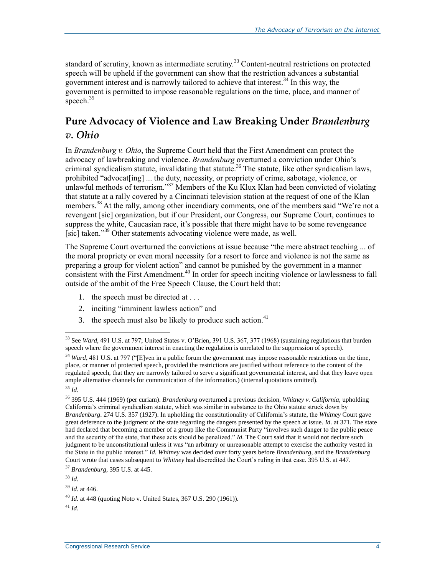standard of scrutiny, known as intermediate scrutiny.<sup>33</sup> Content-neutral restrictions on protected speech will be upheld if the government can show that the restriction advances a substantial government interest and is narrowly tailored to achieve that interest.<sup>34</sup> In this way, the government is permitted to impose reasonable regulations on the time, place, and manner of speech.<sup>35</sup>

### **Pure Advocacy of Violence and Law Breaking Under** *Brandenburg v. Ohio*

In *Brandenburg v. Ohio*, the Supreme Court held that the First Amendment can protect the advocacy of lawbreaking and violence. *Brandenburg* overturned a conviction under Ohio's criminal syndicalism statute, invalidating that statute. <sup>36</sup> The statute, like other syndicalism laws, prohibited "advocat[ing] ... the duty, necessity, or propriety of crime, sabotage, violence, or unlawful methods of terrorism."<sup>37</sup> Members of the Ku Klux Klan had been convicted of violating that statute at a rally covered by a Cincinnati television station at the request of one of the Klan members.<sup>38</sup> At the rally, among other incendiary comments, one of the members said "We're not a revengent [sic] organization, but if our President, our Congress, our Supreme Court, continues to suppress the white, Caucasian race, it's possible that there might have to be some revengeance [sic] taken."<sup>39</sup> Other statements advocating violence were made, as well.

The Supreme Court overturned the convictions at issue because "the mere abstract teaching ... of the moral propriety or even moral necessity for a resort to force and violence is not the same as preparing a group for violent action" and cannot be punished by the government in a manner  $\frac{1}{2}$  consistent with the First Amendment.<sup>40</sup> In order for speech inciting violence or lawlessness to fall outside of the ambit of the Free Speech Clause, the Court held that:

- 1. the speech must be directed at . . .
- 2. inciting "imminent lawless action" and
- 3. the speech must also be likely to produce such action. $41$

 $\overline{a}$ 

 $^{41}$  *Id.* 

<sup>33</sup> See *Ward*, 491 U.S. at 797; United States v. O'Brien, 391 U.S. 367, 377 (1968) (sustaining regulations that burden speech where the government interest in enacting the regulation is unrelated to the suppression of speech).

<sup>&</sup>lt;sup>34</sup> *Ward*, 481 U.S. at 797 ("[E]ven in a public forum the government may impose reasonable restrictions on the time, place, or manner of protected speech, provided the restrictions are justified without reference to the content of the regulated speech, that they are narrowly tailored to serve a significant governmental interest, and that they leave open ample alternative channels for communication of the information.) (internal quotations omitted).

<sup>35</sup> *Id*.

<sup>36</sup> 395 U.S. 444 (1969) (per curiam). *Brandenburg* overturned a previous decision, *Whitney v. California*, upholding California's criminal syndicalism statute, which was similar in substance to the Ohio statute struck down by *Brandenburg*. 274 U.S. 357 (1927). In upholding the constitutionality of California's statute, the *Whitney* Court gave great deference to the judgment of the state regarding the dangers presented by the speech at issue. *Id*. at 371. The state had declared that becoming a member of a group like the Communist Party "involves such danger to the public peace and the security of the state, that these acts should be penalized." *Id*. The Court said that it would not declare such judgment to be unconstitutional unless it was "an arbitrary or unreasonable attempt to exercise the authority vested in the State in the public interest." *Id*. *Whitney* was decided over forty years before *Brandenburg*, and the *Brandenburg* Court wrote that cases subsequent to *Whitney* had discredited the Court's ruling in that case. 395 U.S. at 447.

<sup>37</sup> *Brandenburg*, 395 U.S. at 445.

<sup>38</sup> *Id*.

<sup>39</sup> *Id*. at 446.

<sup>40</sup> *Id*. at 448 (quoting Noto v. United States, 367 U.S. 290 (1961)).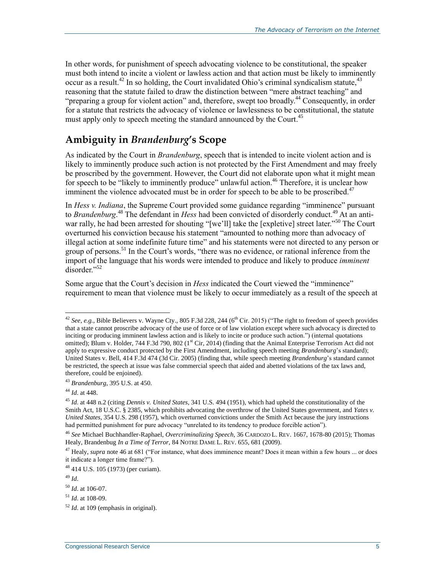In other words, for punishment of speech advocating violence to be constitutional, the speaker must both intend to incite a violent or lawless action and that action must be likely to imminently occur as a result.<sup>42</sup> In so holding, the Court invalidated Ohio's criminal syndicalism statute,  $43$ reasoning that the statute failed to draw the distinction between "mere abstract teaching" and "preparing a group for violent action" and, therefore, swept too broadly.<sup>44</sup> Consequently, in order for a statute that restricts the advocacy of violence or lawlessness to be constitutional, the statute must apply only to speech meeting the standard announced by the Court.<sup>45</sup>

#### **Ambiguity in** *Brandenburg***'s Scope**

As indicated by the Court in *Brandenburg*, speech that is intended to incite violent action and is likely to imminently produce such action is not protected by the First Amendment and may freely be proscribed by the government. However, the Court did not elaborate upon what it might mean for speech to be "likely to imminently produce" unlawful action.<sup>46</sup> Therefore, it is unclear how imminent the violence advocated must be in order for speech to be able to be proscribed.<sup>47</sup>

<span id="page-7-0"></span>In *Hess v. Indiana*, the Supreme Court provided some guidance regarding "imminence" pursuant to *Brandenburg*. <sup>48</sup> The defendant in *Hess* had been convicted of disorderly conduct.<sup>49</sup> At an antiwar rally, he had been arrested for shouting "[we'll] take the [expletive] street later."<sup>50</sup> The Court overturned his conviction because his statement "amounted to nothing more than advocacy of illegal action at some indefinite future time" and his statements were not directed to any person or group of persons.<sup>51</sup> In the Court's words, "there was no evidence, or rational inference from the import of the language that his words were intended to produce and likely to produce *imminent* disorder."<sup>52</sup>

Some argue that the Court's decision in *Hess* indicated the Court viewed the "imminence" requirement to mean that violence must be likely to occur immediately as a result of the speech at

<sup>&</sup>lt;sup>42</sup> See, e.g., Bible Believers v. Wayne Cty., 805 F.3d 228, 244 (6<sup>th</sup> Cir. 2015) ("The right to freedom of speech provides that a state cannot proscribe advocacy of the use of force or of law violation except where such advocacy is directed to inciting or producing imminent lawless action and is likely to incite or produce such action.") (internal quotations omitted); Blum v. Holder, 744 F.3d 790, 802 (1<sup>st</sup> Cir, 2014) (finding that the Animal Enterprise Terrorism Act did not apply to expressive conduct protected by the First Amendment, including speech meeting *Brandenburg*'s standard); United States v. Bell, 414 F.3d 474 (3d Cir. 2005) (finding that, while speech meeting *Brandenburg*'s standard cannot be restricted, the speech at issue was false commercial speech that aided and abetted violations of the tax laws and, therefore, could be enjoined).

<sup>43</sup> *Brandenburg*, 395 U.S. at 450.

<sup>44</sup> *Id*. at 448.

<sup>45</sup> *Id*. at 448 n.2 (citing *Dennis v. United States*, 341 U.S. 494 (1951), which had upheld the constitutionality of the Smith Act, 18 U.S.C. § 2385, which prohibits advocating the overthrow of the United States government, and *Yates v. United States*, 354 U.S. 298 (1957), which overturned convictions under the Smith Act because the jury instructions had permitted punishment for pure advocacy "unrelated to its tendency to produce forcible action").

<sup>46</sup> *See* Michael Buchhandler-Raphael, *Overcriminalizing Speech*, 36 CARDOZO L. REV. 1667, 1678-80 (2015); Thomas Healy, Brandenbug *In a Time of Terror*, 84 NOTRE DAME L. REV. 655, 681 (2009).

<sup>&</sup>lt;sup>47</sup> Healy, *supra* not[e 46](#page-7-0) at 681 ("For instance, what does imminence meant? Does it mean within a few hours ... or does it indicate a longer time frame?").

<sup>48</sup> 414 U.S. 105 (1973) (per curiam).

<sup>49</sup> *Id*.

<sup>50</sup> *Id*. at 106-07.

<sup>51</sup> *Id*. at 108-09.

<sup>52</sup> *Id*. at 109 (emphasis in original).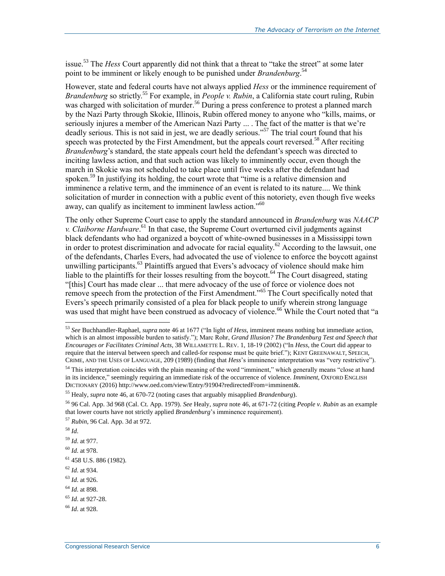issue.<sup>53</sup> The *Hess* Court apparently did not think that a threat to "take the street" at some later point to be imminent or likely enough to be punished under *Brandenburg*. 54

However, state and federal courts have not always applied *Hess* or the imminence requirement of *Brandenburg* so strictly.<sup>55</sup> For example, in *People v. Rubin*, a California state court ruling, Rubin was charged with solicitation of murder.<sup>56</sup> During a press conference to protest a planned march by the Nazi Party through Skokie, Illinois, Rubin offered money to anyone who "kills, maims, or seriously injures a member of the American Nazi Party ... . The fact of the matter is that we're deadly serious. This is not said in jest, we are deadly serious."<sup>57</sup> The trial court found that his speech was protected by the First Amendment, but the appeals court reversed.<sup>58</sup> After reciting *Brandenburg*'s standard, the state appeals court held the defendant's speech was directed to inciting lawless action, and that such action was likely to imminently occur, even though the march in Skokie was not scheduled to take place until five weeks after the defendant had spoken.<sup>59</sup> In justifying its holding, the court wrote that "time is a relative dimension and imminence a relative term, and the imminence of an event is related to its nature.... We think solicitation of murder in connection with a public event of this notoriety, even though five weeks away, can qualify as incitement to imminent lawless action."<sup>60</sup>

The only other Supreme Court case to apply the standard announced in *Brandenburg* was *NAACP v. Claiborne Hardware*. <sup>61</sup> In that case, the Supreme Court overturned civil judgments against black defendants who had organized a boycott of white-owned businesses in a Mississippi town in order to protest discrimination and advocate for racial equality.<sup>62</sup> According to the lawsuit, one of the defendants, Charles Evers, had advocated the use of violence to enforce the boycott against unwilling participants.<sup>63</sup> Plaintiffs argued that Evers's advocacy of violence should make him liable to the plaintiffs for their losses resulting from the boycott.<sup>64</sup> The Court disagreed, stating "[this] Court has made clear ... that mere advocacy of the use of force or violence does not remove speech from the protection of the First Amendment."<sup>65</sup> The Court specifically noted that Evers's speech primarily consisted of a plea for black people to unify wherein strong language was used that might have been construed as advocacy of violence.<sup>66</sup> While the Court noted that "a

 $\overline{a}$ 

<sup>63</sup> *Id*. at 926.

<sup>53</sup> *See* Buchhandler-Raphael, *supra* not[e 46](#page-7-0) at 1677 ("In light of *Hess*, imminent means nothing but immediate action, which is an almost impossible burden to satisfy."); Marc Rohr, *Grand Illusion? The Brandenburg Test and Speech that Encourages or Facilitates Criminal Acts*, 38 WILLAMETTE L. REV. 1, 18-19 (2002) ("In *Hess*, the Court did appear to require that the interval between speech and called-for response must be quite brief."); KENT GREENAWALT, SPEECH, CRIME, AND THE USES OF LANGUAGE, 209 (1989) (finding that *Hess*'s imminence interpretation was "very restrictive").

 $54$  This interpretation coincides with the plain meaning of the word "imminent," which generally means "close at hand" in its incidence," seemingly requiring an immediate risk of the occurrence of violence. *Imminent*, OXFORD ENGLISH DICTIONARY (2016) http://www.oed.com/view/Entry/91904?redirectedFrom=imminent&.

<sup>55</sup> Healy, *supra* not[e 46,](#page-7-0) at 670-72 (noting cases that arguably misapplied *Brandenburg*).

<sup>56</sup> 96 Cal. App. 3d 968 (Cal. Ct. App. 1979). *See* Healy, *supra* not[e 46,](#page-7-0) at 671-72 (citing *People v. Rubin* as an example that lower courts have not strictly applied *Brandenburg*'s imminence requirement).

<sup>57</sup> *Rubin*, 96 Cal. App. 3d at 972.

<sup>58</sup> *Id*.

<sup>59</sup> *Id*. at 977.

<sup>60</sup> *Id*. at 978.

<sup>61</sup> 458 U.S. 886 (1982).

<sup>62</sup> *Id*. at 934.

<sup>64</sup> *Id*. at 898.

<sup>65</sup> *Id*. at 927-28.

<sup>66</sup> *Id*. at 928.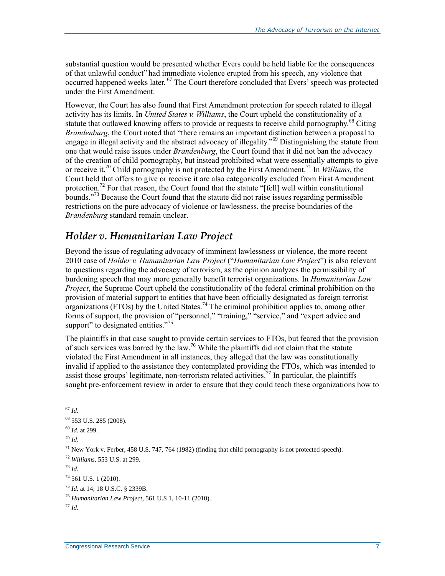substantial question would be presented whether Evers could be held liable for the consequences of that unlawful conduct" had immediate violence erupted from his speech, any violence that occurred happened weeks later. <sup>67</sup> The Court therefore concluded that Evers' speech was protected under the First Amendment.

However, the Court has also found that First Amendment protection for speech related to illegal activity has its limits. In *United States v. Williams*, the Court upheld the constitutionality of a statute that outlawed knowing offers to provide or requests to receive child pornography.<sup>68</sup> Citing *Brandenburg*, the Court noted that "there remains an important distinction between a proposal to engage in illegal activity and the abstract advocacy of illegality."<sup>69</sup> Distinguishing the statute from one that would raise issues under *Brandenburg*, the Court found that it did not ban the advocacy of the creation of child pornography, but instead prohibited what were essentially attempts to give or receive it.<sup>70</sup> Child pornography is not protected by the First Amendment.<sup>71</sup> In *Williams*, the Court held that offers to give or receive it are also categorically excluded from First Amendment protection.<sup>72</sup> For that reason, the Court found that the statute "[fell] well within constitutional bounds.<sup>773</sup> Because the Court found that the statute did not raise issues regarding permissible restrictions on the pure advocacy of violence or lawlessness, the precise boundaries of the *Brandenburg* standard remain unclear.

#### *Holder v. Humanitarian Law Project*

Beyond the issue of regulating advocacy of imminent lawlessness or violence, the more recent 2010 case of *Holder v. Humanitarian Law Project* ("*Humanitarian Law Project*") is also relevant to questions regarding the advocacy of terrorism, as the opinion analyzes the permissibility of burdening speech that may more generally benefit terrorist organizations. In *Humanitarian Law Project*, the Supreme Court upheld the constitutionality of the federal criminal prohibition on the provision of material support to entities that have been officially designated as foreign terrorist organizations (FTOs) by the United States.<sup>74</sup> The criminal prohibition applies to, among other forms of support, the provision of "personnel," "training," "service," and "expert advice and support" to designated entities."<sup>75</sup>

The plaintiffs in that case sought to provide certain services to FTOs, but feared that the provision of such services was barred by the law.<sup>76</sup> While the plaintiffs did not claim that the statute violated the First Amendment in all instances, they alleged that the law was constitutionally invalid if applied to the assistance they contemplated providing the FTOs, which was intended to assist those groups' legitimate, non-terrorism related activities.<sup>77</sup> In particular, the plaintiffs sought pre-enforcement review in order to ensure that they could teach these organizations how to

 $\overline{a}$ <sup>67</sup> *Id*.

<sup>68</sup> 553 U.S. 285 (2008).

<sup>69</sup> *Id*. at 299.

<sup>70</sup> *Id*.

<sup>&</sup>lt;sup>71</sup> New York v. Ferber, 458 U.S. 747, 764 (1982) (finding that child pornography is not protected speech).

<sup>72</sup> *Williams*, 553 U.S. at 299.

<sup>73</sup> *Id*.

 $74$  561 U.S. 1 (2010).

<sup>75</sup> *Id.* at 14; 18 U.S.C. § 2339B.

<sup>76</sup> *Humanitarian Law Project*, 561 U.S 1, 10-11 (2010).

<sup>77</sup> *Id.*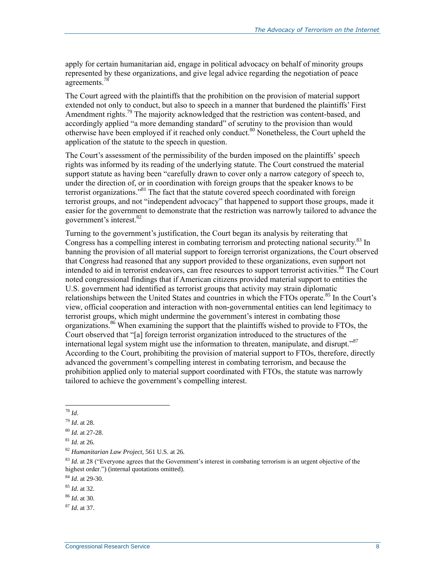apply for certain humanitarian aid, engage in political advocacy on behalf of minority groups represented by these organizations, and give legal advice regarding the negotiation of peace agreements.<sup>78</sup>

The Court agreed with the plaintiffs that the prohibition on the provision of material support extended not only to conduct, but also to speech in a manner that burdened the plaintiffs' First Amendment rights.<sup>79</sup> The majority acknowledged that the restriction was content-based, and accordingly applied "a more demanding standard" of scrutiny to the provision than would otherwise have been employed if it reached only conduct.<sup>80</sup> Nonetheless, the Court upheld the application of the statute to the speech in question.

The Court's assessment of the permissibility of the burden imposed on the plaintiffs' speech rights was informed by its reading of the underlying statute. The Court construed the material support statute as having been "carefully drawn to cover only a narrow category of speech to, under the direction of, or in coordination with foreign groups that the speaker knows to be terrorist organizations."<sup>81</sup> The fact that the statute covered speech coordinated with foreign terrorist groups, and not "independent advocacy" that happened to support those groups, made it easier for the government to demonstrate that the restriction was narrowly tailored to advance the government's interest.<sup>82</sup>

Turning to the government's justification, the Court began its analysis by reiterating that Congress has a compelling interest in combating terrorism and protecting national security.<sup>83</sup> In banning the provision of all material support to foreign terrorist organizations, the Court observed that Congress had reasoned that any support provided to these organizations, even support not intended to aid in terrorist endeavors, can free resources to support terrorist activities.<sup>84</sup> The Court noted congressional findings that if American citizens provided material support to entities the U.S. government had identified as terrorist groups that activity may strain diplomatic relationships between the United States and countries in which the FTOs operate.<sup>85</sup> In the Court's view, official cooperation and interaction with non-governmental entities can lend legitimacy to terrorist groups, which might undermine the government's interest in combating those organizations.<sup>86</sup> When examining the support that the plaintiffs wished to provide to FTOs, the Court observed that "[a] foreign terrorist organization introduced to the structures of the international legal system might use the information to threaten, manipulate, and disrupt."<sup>87</sup> According to the Court, prohibiting the provision of material support to FTOs, therefore, directly advanced the government's compelling interest in combating terrorism, and because the prohibition applied only to material support coordinated with FTOs, the statute was narrowly tailored to achieve the government's compelling interest.

 $\overline{a}$ <sup>78</sup> *Id*.

<sup>79</sup> *Id*. at 28.

<sup>80</sup> *Id*. at 27-28.

<sup>81</sup> *Id*. at 26.

<sup>82</sup> *Humanitarian Law Project*, 561 U.S. at 26.

<sup>83</sup> *Id.* at 28 ("Everyone agrees that the Government's interest in combating terrorism is an urgent objective of the highest order.") (internal quotations omitted).

<sup>84</sup> *Id*. at 29-30.

<sup>85</sup> *Id*. at 32.

<sup>86</sup> *Id*. at 30.

<sup>87</sup> *Id*. at 37.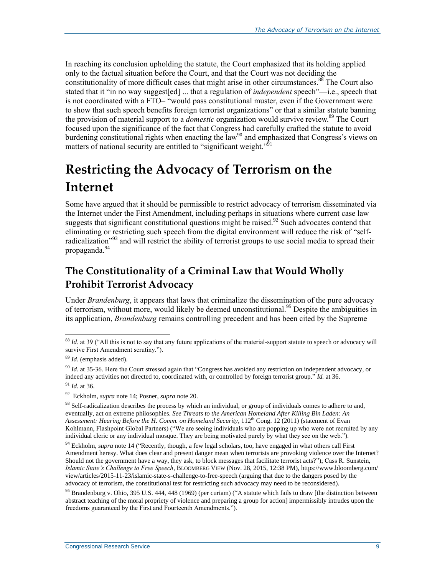In reaching its conclusion upholding the statute, the Court emphasized that its holding applied only to the factual situation before the Court, and that the Court was not deciding the constitutionality of more difficult cases that might arise in other circumstances.<sup>88</sup> The Court also stated that it "in no way suggest[ed] ... that a regulation of *independent* speech"—i.e., speech that is not coordinated with a FTO– "would pass constitutional muster, even if the Government were to show that such speech benefits foreign terrorist organizations" or that a similar statute banning the provision of material support to a *domestic* organization would survive review.<sup>89</sup> The Court focused upon the significance of the fact that Congress had carefully crafted the statute to avoid burdening constitutional rights when enacting the  $\overline{law}^{90}$  and emphasized that Congress's views on matters of national security are entitled to "significant weight."<sup>91</sup>

## **Restricting the Advocacy of Terrorism on the Internet**

Some have argued that it should be permissible to restrict advocacy of terrorism disseminated via the Internet under the First Amendment, including perhaps in situations where current case law suggests that significant constitutional questions might be raised.<sup>92</sup> Such advocates contend that eliminating or restricting such speech from the digital environment will reduce the risk of "selfradicalization<sup>"93</sup> and will restrict the ability of terrorist groups to use social media to spread their propaganda.<sup>94</sup>

### <span id="page-11-0"></span>**The Constitutionality of a Criminal Law that Would Wholly Prohibit Terrorist Advocacy**

Under *Brandenburg*, it appears that laws that criminalize the dissemination of the pure advocacy of terrorism, without more, would likely be deemed unconstitutional.<sup>95</sup> Despite the ambiguities in its application, *Brandenburg* remains controlling precedent and has been cited by the Supreme

<sup>88</sup> *Id*. at 39 ("All this is not to say that any future applications of the material-support statute to speech or advocacy will survive First Amendment scrutiny.").

<sup>89</sup> *Id.* (emphasis added).

<sup>90</sup> *Id*. at 35-36. Here the Court stressed again that "Congress has avoided any restriction on independent advocacy, or indeed any activities not directed to, coordinated with, or controlled by foreign terrorist group." *Id.* at 36.

<sup>91</sup> *Id.* at 36.

<sup>92</sup> Eckholm, *supra* note [14;](#page-4-1) Posner, *supra* not[e 20.](#page-4-0)

<sup>&</sup>lt;sup>93</sup> Self-radicalization describes the process by which an individual, or group of individuals comes to adhere to and, eventually, act on extreme philosophies. *See Threats to the American Homeland After Killing Bin Laden: An Assessment: Hearing Before the H. Comm. on Homeland Security*, 112<sup>th</sup> Cong. 12 (2011) (statement of Evan Kohlmann, Flashpoint Global Partners) ("We are seeing individuals who are popping up who were not recruited by any individual cleric or any individual mosque. They are being motivated purely by what they see on the web.").

<sup>&</sup>lt;sup>94</sup> Eckholm, *supra* not[e 14](#page-4-1) ("Recently, though, a few legal scholars, too, have engaged in what others call First Amendment heresy. What does clear and present danger mean when terrorists are provoking violence over the Internet? Should not the government have a way, they ask, to block messages that facilitate terrorist acts?"); Cass R. Sunstein, *Islamic State's Challenge to Free Speech*, BLOOMBERG VIEW (Nov. 28, 2015, 12:38 PM), https://www.bloomberg.com/ view/articles/2015-11-23/islamic-state-s-challenge-to-free-speech (arguing that due to the dangers posed by the advocacy of terrorism, the constitutional test for restricting such advocacy may need to be reconsidered).

<sup>&</sup>lt;sup>95</sup> Brandenburg v. Ohio, 395 U.S. 444, 448 (1969) (per curiam) ("A statute which fails to draw [the distinction between abstract teaching of the moral propriety of violence and preparing a group for action] impermissibly intrudes upon the freedoms guaranteed by the First and Fourteenth Amendments.").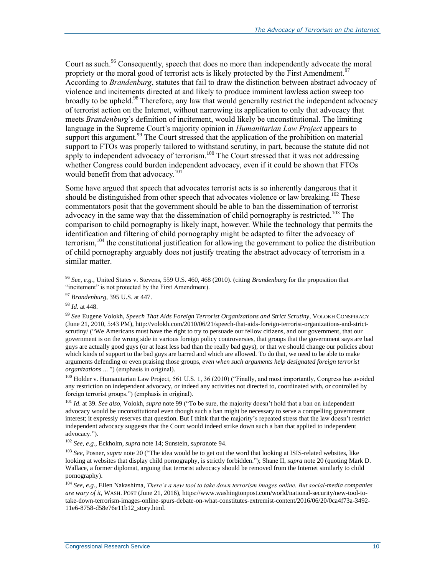Court as such.<sup>96</sup> Consequently, speech that does no more than independently advocate the moral propriety or the moral good of terrorist acts is likely protected by the First Amendment.<sup>97</sup> According to *Brandenburg*, statutes that fail to draw the distinction between abstract advocacy of violence and incitements directed at and likely to produce imminent lawless action sweep too broadly to be upheld.<sup>98</sup> Therefore, any law that would generally restrict the independent advocacy of terrorist action on the Internet, without narrowing its application to only that advocacy that meets *Brandenburg*'s definition of incitement, would likely be unconstitutional. The limiting language in the Supreme Court's majority opinion in *Humanitarian Law Project* appears to support this argument.<sup>99</sup> The Court stressed that the application of the prohibition on material support to FTOs was properly tailored to withstand scrutiny, in part, because the statute did not apply to independent advocacy of terrorism.<sup>100</sup> The Court stressed that it was not addressing whether Congress could burden independent advocacy, even if it could be shown that FTOs would benefit from that advocacy.<sup>101</sup>

<span id="page-12-0"></span>Some have argued that speech that advocates terrorist acts is so inherently dangerous that it should be distinguished from other speech that advocates violence or law breaking.<sup>102</sup> These commentators posit that the government should be able to ban the dissemination of terrorist advocacy in the same way that the dissemination of child pornography is restricted.<sup>103</sup> The comparison to child pornography is likely inapt, however. While the technology that permits the identification and filtering of child pornography might be adapted to filter the advocacy of terrorism,  $104$  the constitutional justification for allowing the government to police the distribution of child pornography arguably does not justify treating the abstract advocacy of terrorism in a similar matter.

 $\overline{a}$ 

<sup>100</sup> Holder v. Humanitarian Law Project, 561 U.S. 1, 36 (2010) ("Finally, and most importantly, Congress has avoided any restriction on independent advocacy, or indeed any activities not directed to, coordinated with, or controlled by foreign terrorist groups.") (emphasis in original).

<sup>101</sup> *Id*. at 39. *See also*, Volokh, *supra* not[e 99](#page-12-0) ("To be sure, the majority doesn't hold that a ban on independent advocacy would be unconstitutional even though such a ban might be necessary to serve a compelling government interest; it expressly reserves that question. But I think that the majority's repeated stress that the law doesn't restrict independent advocacy suggests that the Court would indeed strike down such a ban that applied to independent advocacy.").

<sup>102</sup> *See*, *e.g.*, Eckholm, *supra* note [14;](#page-4-1) Sunstein, *supra*not[e 94.](#page-11-0)

<sup>103</sup> See, Posner, *supra* not[e 20](#page-4-0) ("The idea would be to get out the word that looking at ISIS-related websites, like looking at websites that display child pornography, is strictly forbidden."); Shane II, *supra* note [20](#page-4-0) (quoting Mark D. Wallace, a former diplomat, arguing that terrorist advocacy should be removed from the Internet similarly to child pornography).

<sup>96</sup> *See, e.g.*, United States v. Stevens, 559 U.S. 460, 468 (2010). (citing *Brandenburg* for the proposition that "incitement" is not protected by the First Amendment).

<sup>97</sup> *Brandenburg*, 395 U.S. at 447.

<sup>98</sup> *Id*. at 448.

<sup>99</sup> *See* Eugene Volokh, *Speech That Aids Foreign Terrorist Organizations and Strict Scrutiny*, VOLOKH CONSPIRACY (June 21, 2010, 5:43 PM), http://volokh.com/2010/06/21/speech-that-aids-foreign-terrorist-organizations-and-strictscrutiny/ ("We Americans must have the right to try to persuade our fellow citizens, and our government, that our government is on the wrong side in various foreign policy controversies, that groups that the government says are bad guys are actually good guys (or at least less bad than the really bad guys), or that we should change our policies about which kinds of support to the bad guys are barred and which are allowed. To do that, we need to be able to make arguments defending or even praising those groups, *even when such arguments help designated foreign terrorist organizations* ... ") (emphasis in original).

<sup>104</sup> *See*, *e.g.*, Ellen Nakashima, *There's a new tool to take down terrorism images online. But social-media companies are wary of it*, WASH. POST (June 21, 2016), https://www.washingtonpost.com/world/national-security/new-tool-totake-down-terrorism-images-online-spurs-debate-on-what-constitutes-extremist-content/2016/06/20/0ca4f73a-3492- 11e6-8758-d58e76e11b12\_story.html.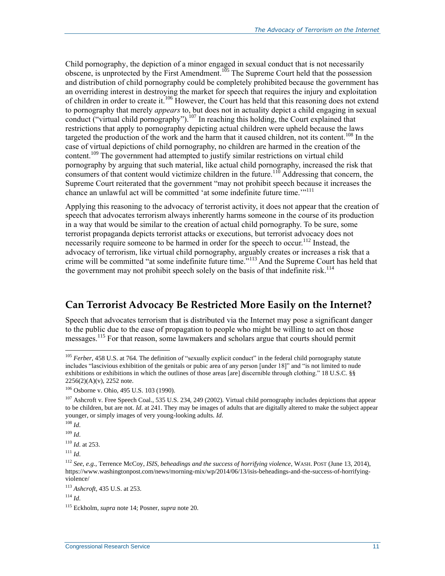Child pornography, the depiction of a minor engaged in sexual conduct that is not necessarily obscene, is unprotected by the First Amendment.<sup>105</sup> The Supreme Court held that the possession and distribution of child pornography could be completely prohibited because the government has an overriding interest in destroying the market for speech that requires the injury and exploitation of children in order to create it.<sup>106</sup> However, the Court has held that this reasoning does not extend to pornography that merely *appears* to, but does not in actuality depict a child engaging in sexual conduct ("virtual child pornography").<sup>107</sup> In reaching this holding, the Court explained that restrictions that apply to pornography depicting actual children were upheld because the laws targeted the production of the work and the harm that it caused children, not its content.<sup>108</sup> In the case of virtual depictions of child pornography, no children are harmed in the creation of the content.<sup>109</sup> The government had attempted to justify similar restrictions on virtual child pornography by arguing that such material, like actual child pornography, increased the risk that consumers of that content would victimize children in the future.<sup>110</sup> Addressing that concern, the Supreme Court reiterated that the government "may not prohibit speech because it increases the chance an unlawful act will be committed 'at some indefinite future time.'"<sup>111</sup>

Applying this reasoning to the advocacy of terrorist activity, it does not appear that the creation of speech that advocates terrorism always inherently harms someone in the course of its production in a way that would be similar to the creation of actual child pornography. To be sure, some terrorist propaganda depicts terrorist attacks or executions, but terrorist advocacy does not necessarily require someone to be harmed in order for the speech to occur.<sup>112</sup> Instead, the advocacy of terrorism, like virtual child pornography, arguably creates or increases a risk that a crime will be committed "at some indefinite future time."<sup>113</sup> And the Supreme Court has held that the government may not prohibit speech solely on the basis of that indefinite risk.<sup>114</sup>

#### **Can Terrorist Advocacy Be Restricted More Easily on the Internet?**

Speech that advocates terrorism that is distributed via the Internet may pose a significant danger to the public due to the ease of propagation to people who might be willing to act on those messages.<sup>115</sup> For that reason, some lawmakers and scholars argue that courts should permit

<sup>108</sup> *Id*.

 $\overline{a}$ 

<sup>109</sup> *Id*.

<sup>110</sup> *Id*. at 253.

 $111$  *Id.* 

<sup>&</sup>lt;sup>105</sup> *Ferber*, 458 U.S. at 764. The definition of "sexually explicit conduct" in the federal child pornography statute includes "lascivious exhibition of the genitals or pubic area of any person [under 18]" and "is not limited to nude exhibitions or exhibitions in which the outlines of those areas [are] discernible through clothing." 18 U.S.C. §§ 2256(2)(A)(v), 2252 note.

<sup>106</sup> Osborne v. Ohio, 495 U.S. 103 (1990).

<sup>&</sup>lt;sup>107</sup> Ashcroft v. Free Speech Coal., 535 U.S. 234, 249 (2002). Virtual child pornography includes depictions that appear to be children, but are not. *Id*. at 241. They may be images of adults that are digitally altered to make the subject appear younger, or simply images of very young-looking adults. *Id*.

<sup>112</sup> *See*, *e.g.*, Terrence McCoy, *ISIS, beheadings and the success of horrifying violence*, WASH. POST (June 13, 2014), https://www.washingtonpost.com/news/morning-mix/wp/2014/06/13/isis-beheadings-and-the-success-of-horrifyingviolence/

<sup>113</sup> *Ashcroft*, 435 U.S. at 253.

<sup>114</sup> *Id*.

<sup>115</sup> Eckholm, *supra* not[e 14;](#page-4-1) Posner, *supra* note [20.](#page-4-0)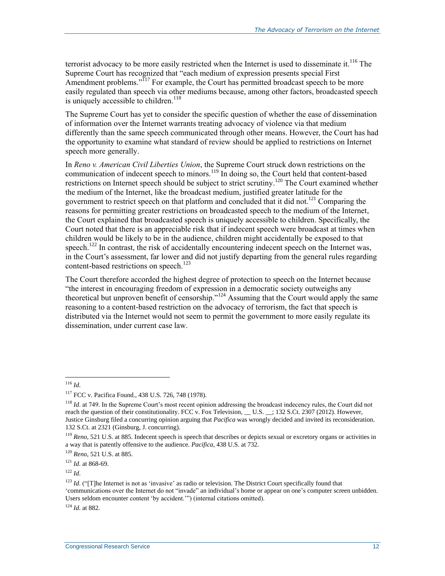terrorist advocacy to be more easily restricted when the Internet is used to disseminate it.<sup>116</sup> The Supreme Court has recognized that "each medium of expression presents special First Amendment problems."<sup>117</sup> For example, the Court has permitted broadcast speech to be more easily regulated than speech via other mediums because, among other factors, broadcasted speech is uniquely accessible to children.<sup>118</sup>

The Supreme Court has yet to consider the specific question of whether the ease of dissemination of information over the Internet warrants treating advocacy of violence via that medium differently than the same speech communicated through other means. However, the Court has had the opportunity to examine what standard of review should be applied to restrictions on Internet speech more generally.

In *Reno v. American Civil Liberties Union*, the Supreme Court struck down restrictions on the communication of indecent speech to minors.<sup>119</sup> In doing so, the Court held that content-based restrictions on Internet speech should be subject to strict scrutiny.<sup>120</sup> The Court examined whether the medium of the Internet, like the broadcast medium, justified greater latitude for the government to restrict speech on that platform and concluded that it did not.<sup>121</sup> Comparing the reasons for permitting greater restrictions on broadcasted speech to the medium of the Internet, the Court explained that broadcasted speech is uniquely accessible to children. Specifically, the Court noted that there is an appreciable risk that if indecent speech were broadcast at times when children would be likely to be in the audience, children might accidentally be exposed to that speech.<sup>122</sup> In contrast, the risk of accidentally encountering indecent speech on the Internet was, in the Court's assessment, far lower and did not justify departing from the general rules regarding content-based restrictions on speech. 123

The Court therefore accorded the highest degree of protection to speech on the Internet because "the interest in encouraging freedom of expression in a democratic society outweighs any theoretical but unproven benefit of censorship."<sup>124</sup> Assuming that the Court would apply the same reasoning to a content-based restriction on the advocacy of terrorism, the fact that speech is distributed via the Internet would not seem to permit the government to more easily regulate its dissemination, under current case law.

 $\overline{a}$ 

<sup>120</sup> *Reno,* 521 U.S. at 885.

<sup>122</sup> *Id*.

<sup>124</sup> *Id*. at 882.

<sup>116</sup> *Id*.

<sup>117</sup> FCC v. Pacifica Found., 438 U.S. 726, 748 (1978).

<sup>&</sup>lt;sup>118</sup> *Id.* at 749. In the Supreme Court's most recent opinion addressing the broadcast indecency rules, the Court did not reach the question of their constitutionality. FCC v. Fox Television, \_\_ U.S. \_\_; 132 S.Ct. 2307 (2012). However, Justice Ginsburg filed a concurring opinion arguing that *Pacifica* was wrongly decided and invited its reconsideration. 132 S.Ct. at 2321 (Ginsburg, J. concurring).

<sup>119</sup> *Reno,* 521 U.S. at 885. Indecent speech is speech that describes or depicts sexual or excretory organs or activities in a way that is patently offensive to the audience. *Pacifica*, 438 U.S. at 732.

<sup>121</sup> *Id*. at 868-69.

<sup>&</sup>lt;sup>123</sup> *Id.* ("The Internet is not as 'invasive' as radio or television. The District Court specifically found that 'communications over the Internet do not "invade" an individual's home or appear on one's computer screen unbidden. Users seldom encounter content 'by accident.'") (internal citations omitted).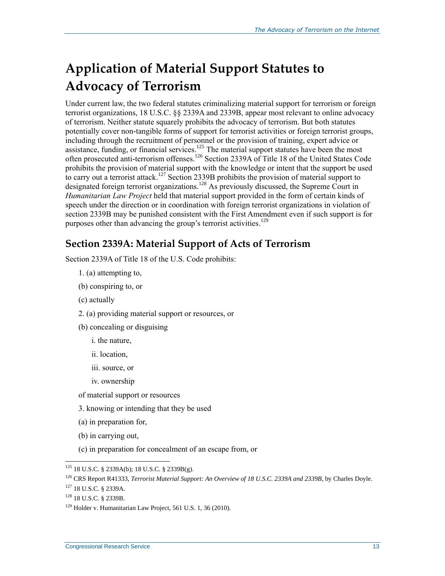## **Application of Material Support Statutes to Advocacy of Terrorism**

Under current law, the two federal statutes criminalizing material support for terrorism or foreign terrorist organizations, 18 U.S.C. §§ 2339A and 2339B, appear most relevant to online advocacy of terrorism. Neither statute squarely prohibits the advocacy of terrorism. But both statutes potentially cover non-tangible forms of support for terrorist activities or foreign terrorist groups, including through the recruitment of personnel or the provision of training, expert advice or assistance, funding, or financial services.<sup>125</sup> The material support statutes have been the most often prosecuted anti-terrorism offenses.<sup>126</sup> Section 2339A of Title 18 of the United States Code prohibits the provision of material support with the knowledge or intent that the support be used to carry out a terrorist attack.<sup>127</sup> Section 2339B prohibits the provision of material support to designated foreign terrorist organizations.<sup>128</sup> As previously discussed, the Supreme Court in *Humanitarian Law Project* held that material support provided in the form of certain kinds of speech under the direction or in coordination with foreign terrorist organizations in violation of section 2339B may be punished consistent with the First Amendment even if such support is for purposes other than advancing the group's terrorist activities.<sup>129</sup>

#### **Section 2339A: Material Support of Acts of Terrorism**

Section 2339A of Title 18 of the U.S. Code prohibits:

- 1. (a) attempting to,
- (b) conspiring to, or
- (c) actually
- 2. (a) providing material support or resources, or
- (b) concealing or disguising
	- i. the nature,
	- ii. location,
	- iii. source, or
	- iv. ownership
- of material support or resources
- 3. knowing or intending that they be used
- (a) in preparation for,
- (b) in carrying out,
- (c) in preparation for concealment of an escape from, or

 $\overline{a}$ <sup>125</sup> 18 U.S.C. § 2339A(b); 18 U.S.C. § 2339B(g).

<sup>126</sup> CRS Report R41333, *Terrorist Material Support: An Overview of 18 U.S.C. 2339A and 2339B*, by Charles Doyle.

<sup>127</sup> 18 U.S.C. § 2339A.

<sup>128</sup> 18 U.S.C. § 2339B.

<sup>&</sup>lt;sup>129</sup> Holder v. Humanitarian Law Project, 561 U.S. 1, 36 (2010).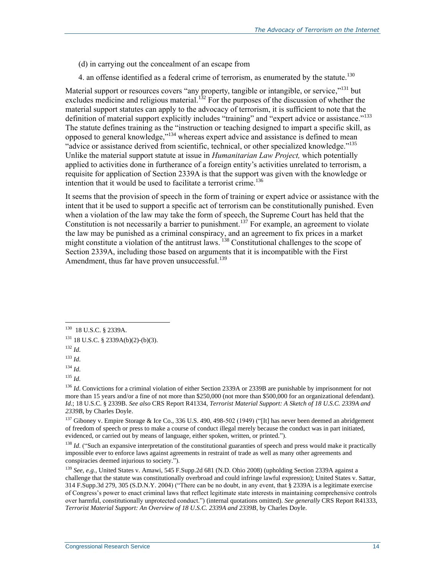- (d) in carrying out the concealment of an escape from
- 4. an offense identified as a federal crime of terrorism, as enumerated by the statute.<sup>130</sup>

Material support or resources covers "any property, tangible or intangible, or service,"<sup>131</sup> but excludes medicine and religious material.<sup>132</sup> For the purposes of the discussion of whether the material support statutes can apply to the advocacy of terrorism, it is sufficient to note that the definition of material support explicitly includes "training" and "expert advice or assistance."<sup>133</sup> The statute defines training as the "instruction or teaching designed to impart a specific skill, as opposed to general knowledge,"<sup>134</sup> whereas expert advice and assistance is defined to mean "advice or assistance derived from scientific, technical, or other specialized knowledge."<sup>135</sup> Unlike the material support statute at issue in *Humanitarian Law Project,* which potentially applied to activities done in furtherance of a foreign entity's activities unrelated to terrorism, a requisite for application of Section 2339A is that the support was given with the knowledge or intention that it would be used to facilitate a terrorist crime.<sup>136</sup>

It seems that the provision of speech in the form of training or expert advice or assistance with the intent that it be used to support a specific act of terrorism can be constitutionally punished. Even when a violation of the law may take the form of speech, the Supreme Court has held that the Constitution is not necessarily a barrier to punishment.<sup>137</sup> For example, an agreement to violate the law may be punished as a criminal conspiracy, and an agreement to fix prices in a market might constitute a violation of the antitrust laws.<sup>138</sup> Constitutional challenges to the scope of Section 2339A, including those based on arguments that it is incompatible with the First Amendment, thus far have proven unsuccessful. $^{139}$ 

 130 18 U.S.C. § 2339A.

 $131$  18 U.S.C. § 2339A(b)(2)-(b)(3).

<sup>132</sup> *Id*.

<sup>133</sup> *Id*.

<sup>134</sup> *Id*.

<sup>135</sup> *Id*.

<sup>&</sup>lt;sup>136</sup> *Id*. Convictions for a criminal violation of either Section 2339A or 2339B are punishable by imprisonment for not more than 15 years and/or a fine of not more than \$250,000 (not more than \$500,000 for an organizational defendant). *Id*.; 18 U.S.C. § 2339B. *See also* CRS Report R41334, *Terrorist Material Support: A Sketch of 18 U.S.C. 2339A and 2339B*, by Charles Doyle.

<sup>137</sup> Giboney v. Empire Storage & Ice Co., 336 U.S. 490, 498-502 (1949) ("[It] has never been deemed an abridgement of freedom of speech or press to make a course of conduct illegal merely because the conduct was in part initiated, evidenced, or carried out by means of language, either spoken, written, or printed.").

<sup>&</sup>lt;sup>138</sup> *Id.* ("Such an expansive interpretation of the constitutional guaranties of speech and press would make it practically impossible ever to enforce laws against agreements in restraint of trade as well as many other agreements and conspiracies deemed injurious to society.").

<sup>139</sup> *See, e.g.,* United States v. Amawi, 545 F.Supp.2d 681 (N.D. Ohio 2008) (upholding Section 2339A against a challenge that the statute was constitutionally overbroad and could infringe lawful expression); United States v. Sattar, 314 F.Supp.3d 279, 305 (S.D.N.Y. 2004) ("There can be no doubt, in any event, that § 2339A is a legitimate exercise of Congress's power to enact criminal laws that reflect legitimate state interests in maintaining comprehensive controls over harmful, constitutionally unprotected conduct.") (internal quotations omitted). *See generally* CRS Report R41333, *Terrorist Material Support: An Overview of 18 U.S.C. 2339A and 2339B*, by Charles Doyle.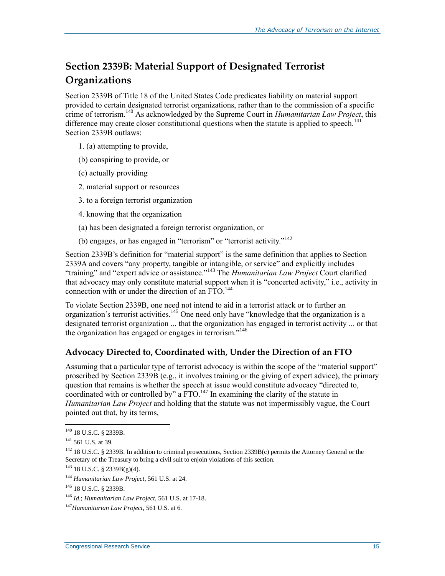### **Section 2339B: Material Support of Designated Terrorist Organizations**

Section 2339B of Title 18 of the United States Code predicates liability on material support provided to certain designated terrorist organizations, rather than to the commission of a specific crime of terrorism. <sup>140</sup> As acknowledged by the Supreme Court in *Humanitarian Law Project*, this difference may create closer constitutional questions when the statute is applied to speech.<sup>141</sup> Section 2339B outlaws:

- 1. (a) attempting to provide,
- (b) conspiring to provide, or
- (c) actually providing
- 2. material support or resources
- 3. to a foreign terrorist organization
- 4. knowing that the organization
- (a) has been designated a foreign terrorist organization, or
- (b) engages, or has engaged in "terrorism" or "terrorist activity."<sup>142</sup>

Section 2339B's definition for "material support" is the same definition that applies to Section 2339A and covers "any property, tangible or intangible, or service" and explicitly includes "training" and "expert advice or assistance."<sup>143</sup> The *Humanitarian Law Project* Court clarified that advocacy may only constitute material support when it is "concerted activity," i.e., activity in connection with or under the direction of an  $FTO$ .<sup>144</sup>

To violate Section 2339B, one need not intend to aid in a terrorist attack or to further an organization's terrorist activities.<sup>145</sup> One need only have "knowledge that the organization is a designated terrorist organization ... that the organization has engaged in terrorist activity ... or that the organization has engaged or engages in terrorism."<sup>146</sup>

#### **Advocacy Directed to, Coordinated with, Under the Direction of an FTO**

Assuming that a particular type of terrorist advocacy is within the scope of the "material support" proscribed by Section 2339B (e.g., it involves training or the giving of expert advice), the primary question that remains is whether the speech at issue would constitute advocacy "directed to, coordinated with or controlled by" a  $\text{FTO.}^{147}$  In examining the clarity of the statute in *Humanitarian Law Project* and holding that the statute was not impermissibly vague, the Court pointed out that, by its terms,

<sup>&</sup>lt;sup>140</sup> 18 U.S.C. § 2339B.

<sup>141</sup> 561 U.S. at 39.

<sup>&</sup>lt;sup>142</sup> 18 U.S.C. § 2339B. In addition to criminal prosecutions, Section 2339B(c) permits the Attorney General or the Secretary of the Treasury to bring a civil suit to enjoin violations of this section.

 $143$  18 U.S.C. § 2339B(g)(4).

<sup>144</sup> *Humanitarian Law Project*, 561 U.S. at 24.

<sup>145</sup> 18 U.S.C. § 2339B.

<sup>146</sup> *Id*.; *Humanitarian Law Project*, 561 U.S. at 17-18.

<sup>147</sup>*Humanitarian Law Project*, 561 U.S. at 6.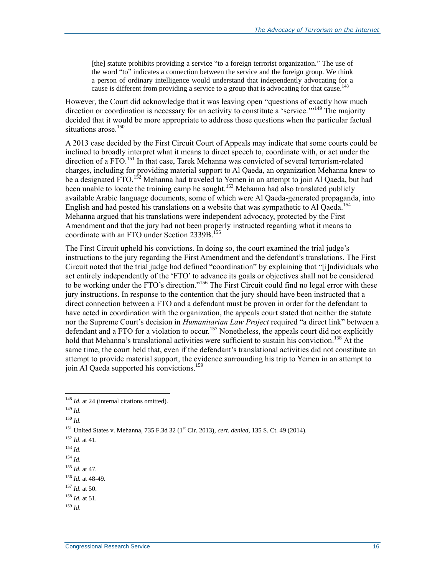[the] statute prohibits providing a service "to a foreign terrorist organization." The use of the word "to" indicates a connection between the service and the foreign group. We think a person of ordinary intelligence would understand that independently advocating for a cause is different from providing a service to a group that is advocating for that cause.<sup>148</sup>

However, the Court did acknowledge that it was leaving open "questions of exactly how much direction or coordination is necessary for an activity to constitute a 'service.'"<sup>149</sup> The majority decided that it would be more appropriate to address those questions when the particular factual situations arose.<sup>150</sup>

A 2013 case decided by the First Circuit Court of Appeals may indicate that some courts could be inclined to broadly interpret what it means to direct speech to, coordinate with, or act under the direction of a FTO.<sup>151</sup> In that case, Tarek Mehanna was convicted of several terrorism-related charges, including for providing material support to Al Qaeda, an organization Mehanna knew to be a designated FTO.<sup>152</sup> Mehanna had traveled to Yemen in an attempt to join Al Qaeda, but had been unable to locate the training camp he sought.<sup>153</sup> Mehanna had also translated publicly available Arabic language documents, some of which were Al Qaeda-generated propaganda, into English and had posted his translations on a website that was sympathetic to Al Qaeda.<sup>154</sup> Mehanna argued that his translations were independent advocacy, protected by the First Amendment and that the jury had not been properly instructed regarding what it means to coordinate with an FTO under Section 2339B. 155

The First Circuit upheld his convictions. In doing so, the court examined the trial judge's instructions to the jury regarding the First Amendment and the defendant's translations. The First Circuit noted that the trial judge had defined "coordination" by explaining that "[i]ndividuals who act entirely independently of the 'FTO' to advance its goals or objectives shall not be considered to be working under the FTO's direction."<sup>156</sup> The First Circuit could find no legal error with these jury instructions. In response to the contention that the jury should have been instructed that a direct connection between a FTO and a defendant must be proven in order for the defendant to have acted in coordination with the organization, the appeals court stated that neither the statute nor the Supreme Court's decision in *Humanitarian Law Project* required "a direct link" between a defendant and a FTO for a violation to occur.<sup>157</sup> Nonetheless, the appeals court did not explicitly hold that Mehanna's translational activities were sufficient to sustain his conviction.<sup>158</sup> At the same time, the court held that, even if the defendant's translational activities did not constitute an attempt to provide material support, the evidence surrounding his trip to Yemen in an attempt to join Al Qaeda supported his convictions.<sup>159</sup>

 $\overline{a}$ 

<sup>150</sup> *Id*.

- <sup>153</sup> *Id*.
- <sup>154</sup> *Id*.

<sup>&</sup>lt;sup>148</sup> *Id.* at 24 (internal citations omitted).

<sup>149</sup> *Id*.

<sup>&</sup>lt;sup>151</sup> United States v. Mehanna, 735 F.3d 32 (1<sup>st</sup> Cir. 2013), *cert. denied*, 135 S. Ct. 49 (2014).

<sup>152</sup> *Id*. at 41.

<sup>155</sup> *Id*. at 47.

<sup>156</sup> *Id.* at 48-49.

<sup>157</sup> *Id*. at 50.

<sup>158</sup> *Id*. at 51.

<sup>159</sup> *Id*.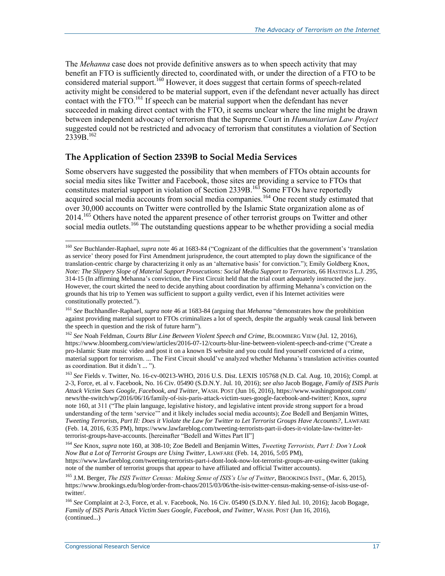<span id="page-19-0"></span>The *Mehanna* case does not provide definitive answers as to when speech activity that may benefit an FTO is sufficiently directed to, coordinated with, or under the direction of a FTO to be considered material support.<sup>160</sup> However, it does suggest that certain forms of speech-related activity might be considered to be material support, even if the defendant never actually has direct contact with the FTO.<sup>161</sup> If speech can be material support when the defendant has never succeeded in making direct contact with the FTO, it seems unclear where the line might be drawn between independent advocacy of terrorism that the Supreme Court in *Humanitarian Law Project* suggested could not be restricted and advocacy of terrorism that constitutes a violation of Section 2339B<sup>162</sup>

#### **The Application of Section 2339B to Social Media Services**

<span id="page-19-1"></span>Some observers have suggested the possibility that when members of FTOs obtain accounts for social media sites like Twitter and Facebook, those sites are providing a service to FTOs that constitutes material support in violation of Section 2339B.<sup>163</sup> Some FTOs have reportedly acquired social media accounts from social media companies.<sup>164</sup> One recent study estimated that over 30,000 accounts on Twitter were controlled by the Islamic State organization alone as of 2014.<sup>165</sup> Others have noted the apparent presence of other terrorist groups on Twitter and other social media outlets.<sup>166</sup> The outstanding questions appear to be whether providing a social media

<sup>&</sup>lt;sup>160</sup> See Buchlander-Raphael, *supra* note [46](#page-7-0) at 1683-84 ("Cognizant of the difficulties that the government's 'translation as service' theory posed for First Amendment jurisprudence, the court attempted to play down the significance of the translation-centric charge by characterizing it only as an 'alternative basis' for conviction."); Emily Goldberg Knox, *Note: The Slippery Slope of Material Support Prosecutions: Social Media Support to Terrorists*, 66 HASTINGS L.J. 295, 314-15 (In affirming Mehanna's conviction, the First Circuit held that the trial court adequately instructed the jury. However, the court skirted the need to decide anything about coordination by affirming Mehanna's conviction on the grounds that his trip to Yemen was sufficient to support a guilty verdict, even if his Internet activities were constitutionally protected.").

<sup>161</sup> *See* Buchhandler-Raphael, *supra* not[e 46](#page-7-0) at 1683-84 (arguing that *Mehanna* "demonstrates how the prohibition against providing material support to FTOs criminalizes a lot of speech, despite the arguably weak causal link between the speech in question and the risk of future harm").

<sup>162</sup> *See* Noah Feldman, *Courts Blur Line Between Violent Speech and Crime*, BLOOMBERG VIEW (Jul. 12, 2016), https://www.bloomberg.com/view/articles/2016-07-12/courts-blur-line-between-violent-speech-and-crime ("Create a pro-Islamic State music video and post it on a known IS website and you could find yourself convicted of a crime, material support for terrorism. ... The First Circuit should've analyzed whether Mehanna's translation activities counted as coordination. But it didn't ... ").

<sup>163</sup> *See* Fields v. Twitter, No. 16-cv-00213-WHO, 2016 U.S. Dist. LEXIS 105768 (N.D. Cal. Aug. 10, 2016); Compl. at 2-3, Force, et. al v. Facebook, No. 16 Civ. 05490 (S.D.N.Y. Jul. 10, 2016); *see also* Jacob Bogage, *Family of ISIS Paris Attack Victim Sues Google, Facebook, and Twitter*, WASH. POST (Jun 16, 2016), https://www.washingtonpost.com/ news/the-switch/wp/2016/06/16/family-of-isis-paris-attack-victim-sues-google-facebook-and-twitter/; Knox, *supra* note [160,](#page-19-0) at 311 ("The plain language, legislative history, and legislative intent provide strong support for a broad understanding of the term 'service'" and it likely includes social media accounts); Zoe Bedell and Benjamin Wittes, *Tweeting Terrorists, Part II: Does it Violate the Law for Twitter to Let Terrorist Groups Have Accounts?*, LAWFARE (Feb. 14, 2016, 6:35 PM), https://www.lawfareblog.com/tweeting-terrorists-part-ii-does-it-violate-law-twitter-letterrorist-groups-have-accounts. [hereinafter "Bedell and Wittes Part II"]

<sup>164</sup> *See* Knox, *supra* note [160,](#page-19-0) at 308-10; Zoe Bedell and Benjamin Wittes, *Tweeting Terrorists, Part I: Don't Look Now But a Lot of Terrorist Groups are Using Twitter*, LAWFARE (Feb. 14, 2016, 5:05 PM),

https://www.lawfareblog.com/tweeting-terrorists-part-i-dont-look-now-lot-terrorist-groups-are-using-twitter (taking note of the number of terrorist groups that appear to have affiliated and official Twitter accounts).

<sup>165</sup> J.M. Berger, *The ISIS Twitter Census: Making Sense of ISIS's Use of Twitter*, BROOKINGS INST., (Mar. 6, 2015), https://www.brookings.edu/blog/order-from-chaos/2015/03/06/the-isis-twitter-census-making-sense-of-isiss-use-oftwitter/.

<sup>&</sup>lt;sup>166</sup> See Complaint at 2-3, Force, et al. v. Facebook, No. 16 Civ. 05490 (S.D.N.Y. filed Jul. 10, 2016); Jacob Bogage, *Family of ISIS Paris Attack Victim Sues Google, Facebook, and Twitter*, WASH. POST (Jun 16, 2016), (continued...)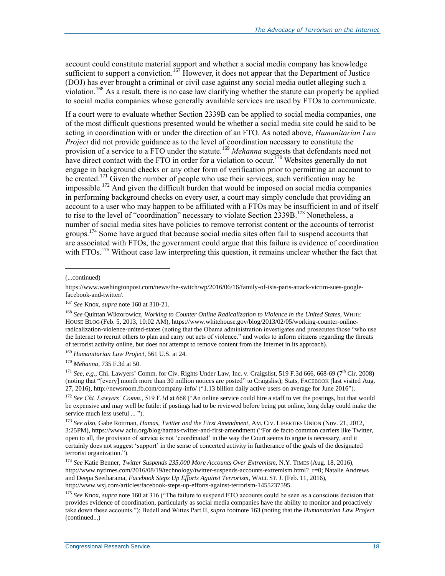account could constitute material support and whether a social media company has knowledge sufficient to support a conviction.<sup>167</sup> However, it does not appear that the Department of Justice (DOJ) has ever brought a criminal or civil case against any social media outlet alleging such a violation. <sup>168</sup> As a result, there is no case law clarifying whether the statute can properly be applied to social media companies whose generally available services are used by FTOs to communicate.

If a court were to evaluate whether Section 2339B can be applied to social media companies, one of the most difficult questions presented would be whether a social media site could be said to be acting in coordination with or under the direction of an FTO. As noted above, *Humanitarian Law Project* did not provide guidance as to the level of coordination necessary to constitute the provision of a service to a FTO under the statute.<sup>169</sup> *Mehanna* suggests that defendants need not have direct contact with the FTO in order for a violation to occur.<sup>170</sup> Websites generally do not engage in background checks or any other form of verification prior to permitting an account to be created.<sup>171</sup> Given the number of people who use their services, such verification may be impossible.<sup>172</sup> And given the difficult burden that would be imposed on social media companies in performing background checks on every user, a court may simply conclude that providing an account to a user who may happen to be affiliated with a FTOs may be insufficient in and of itself to rise to the level of "coordination" necessary to violate Section 2339B.<sup>173</sup> Nonetheless, a number of social media sites have policies to remove terrorist content or the accounts of terrorist groups.<sup>174</sup> Some have argued that because social media sites often fail to suspend accounts that are associated with FTOs, the government could argue that this failure is evidence of coordination with FTOs.<sup>175</sup> Without case law interpreting this question, it remains unclear whether the fact that

<span id="page-20-0"></span>l

<sup>169</sup> *Humanitarian Law Project*, 561 U.S. at 24.

<sup>170</sup> *Mehanna*, 735 F.3d at 50.

<sup>171</sup> *See*, *e.g.*, Chi. Lawyers' Comm. for Civ. Rights Under Law, Inc. v. Craigslist, 519 F.3d 666, 668-69 (7<sup>th</sup> Cir. 2008) (noting that "[every] month more than 30 million notices are posted" to Craigslist); Stats, FACEBOOK (last visited Aug. 27, 2016), http://newsroom.fb.com/company-info/ ("1.13 billion daily active users on average for June 2016").

<sup>172</sup> *See Chi. Lawyers' Comm*., 519 F.3d at 668 ("An online service could hire a staff to vet the postings, but that would be expensive and may well be futile: if postings had to be reviewed before being put online, long delay could make the service much less useful ... ").

<sup>173</sup> *See also*, Gabe Rottman, *Hamas, Twitter and the First Amendment*, AM. CIV. LIBERTIES UNION (Nov. 21, 2012, 3:25PM), https://www.aclu.org/blog/hamas-twitter-and-first-amendment ("For de facto common carriers like Twitter, open to all, the provision of service is not 'coordinated' in the way the Court seems to argue is necessary, and it certainly does not suggest 'support' in the sense of concerted activity in furtherance of the goals of the designated terrorist organization.").

<sup>174</sup> *See* Katie Benner, *Twitter Suspends 235,000 More Accounts Over Extremism*, N.Y. TIMES (Aug. 18, 2016), http://www.nytimes.com/2016/08/19/technology/twitter-suspends-accounts-extremism.html? r=0; Natalie Andrews and Deepa Seetharama, *Facebook Steps Up Efforts Against Terrorism*, WALL ST. J. (Feb. 11, 2016), http://www.wsj.com/articles/facebook-steps-up-efforts-against-terrorism-1455237595.

<sup>175</sup> See Knox, *supra* note [160](#page-19-0) at 316 ("The failure to suspend FTO accounts could be seen as a conscious decision that provides evidence of coordination, particularly as social media companies have the ability to monitor and proactively take down these accounts."); Bedell and Wittes Part II, *supra* footnot[e 163](#page-19-1) (noting that the *Humanitarian Law Project*  (continued...)

<sup>(...</sup>continued)

https://www.washingtonpost.com/news/the-switch/wp/2016/06/16/family-of-isis-paris-attack-victim-sues-googlefacebook-and-twitter/.

<sup>167</sup> *See* Knox, *supra* note [160](#page-19-0) at 310-21.

<sup>168</sup> *See* Quintan Wiktorowicz, *Working to Counter Online Radicalization to Violence in the United States*, WHITE HOUSE BLOG (Feb. 5, 2013, 10:02 AM), https://www.whitehouse.gov/blog/2013/02/05/working-counter-onlineradicalization-violence-united-states (noting that the Obama administration investigates and prosecutes those "who use the Internet to recruit others to plan and carry out acts of violence." and works to inform citizens regarding the threats of terrorist activity online, but does not attempt to remove content from the Internet in its approach).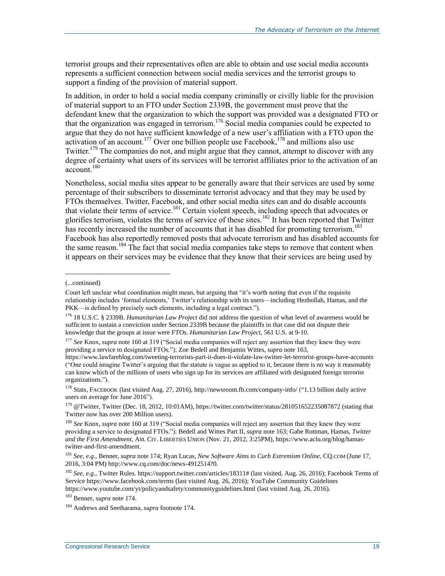terrorist groups and their representatives often are able to obtain and use social media accounts represents a sufficient connection between social media services and the terrorist groups to support a finding of the provision of material support.

In addition, in order to hold a social media company criminally or civilly liable for the provision of material support to an FTO under Section 2339B, the government must prove that the defendant knew that the organization to which the support was provided was a designated FTO or that the organization was engaged in terrorism.<sup>176</sup> Social media companies could be expected to argue that they do not have sufficient knowledge of a new user's affiliation with a FTO upon the activation of an account.<sup>177</sup> Over one billion people use Facebook,<sup>178</sup> and millions also use Twitter.<sup>179</sup> The companies do not, and might argue that they cannot, attempt to discover with any degree of certainty what users of its services will be terrorist affiliates prior to the activation of an account. 180

Nonetheless, social media sites appear to be generally aware that their services are used by some percentage of their subscribers to disseminate terrorist advocacy and that they may be used by FTOs themselves. Twitter, Facebook, and other social media sites can and do disable accounts that violate their terms of service.<sup>181</sup> Certain violent speech, including speech that advocates or glorifies terrorism, violates the terms of service of these sites.<sup>182</sup> It has been reported that Twitter has recently increased the number of accounts that it has disabled for promoting terrorism.<sup>183</sup> Facebook has also reportedly removed posts that advocate terrorism and has disabled accounts for the same reason.<sup>184</sup> The fact that social media companies take steps to remove that content when it appears on their services may be evidence that they know that their services are being used by

 $\overline{a}$ 

<sup>178</sup> Stats, FACEBOOK (last visited Aug. 27, 2016), http://newsroom.fb.com/company-info/ ("1.13 billion daily active users on average for June 2016").

<sup>(...</sup>continued)

Court left unclear what coordination might mean, but arguing that "it's worth noting that even if the requisite relationship includes 'formal elements,' Twitter's relationship with its users—including Hezbollah, Hamas, and the PKK—is defined by precisely such elements, including a legal contract.").

<sup>176</sup> 18 U.S.C. § 2339B. *Humanitarian Law Project* did not address the question of what level of awareness would be sufficient to sustain a conviction under Section 2339B because the plaintiffs in that case did not dispute their knowledge that the groups at issue were FTOs. *Humanitarian Law Project*, 561 U.S. at 9-10.

<sup>177</sup> *See* Knox, *supra* note [160](#page-19-0) at 319 ("Social media companies will reject any assertion that they knew they were providing a service to designated FTOs."); Zoe Bedell and Benjamin Wittes, *supra* not[e 163,](#page-19-1)

https://www.lawfareblog.com/tweeting-terrorists-part-ii-does-it-violate-law-twitter-let-terrorist-groups-have-accounts ("One could imagine Twitter's arguing that the statute is vague as applied to it, because there is no way it reasonably can know which of the millions of users who sign up for its services are affiliated with designated foreign terrorist organizations.").

<sup>179</sup> @Twitter, Twitter (Dec. 18, 2012, 10:01AM), https://twitter.com/twitter/status/281051652235087872 (stating that Twitter now has over 200 Million users).

<sup>180</sup> *See* Knox, *supra* note [160](#page-19-0) at 319 ("Social media companies will reject any assertion that they knew they were providing a service to designated FTOs."); Bedell and Wittes Part II, *supra* note [163;](#page-19-1) Gabe Rottman, Hamas, *Twitter and the First Amendment*, AM. CIV. LIBERTIES UNION (Nov. 21, 2012, 3:25PM), https://www.aclu.org/blog/hamastwitter-and-first-amendment.

<sup>181</sup> *See*, *e.g.*, Benner, *supra* not[e 174;](#page-20-0) Ryan Lucas, *New Software Aims to Curb Extremism Online*, CQ.COM (June 17, 2016, 3:04 PM) http://www.cq.com/doc/news-4912514?0.

<sup>182</sup> *See*, *e.g.*, Twitter Rules. https://support.twitter.com/articles/18311# (last visited, Aug. 26, 2016); Facebook Terms of Service https://www.facebook.com/terms (last visited Aug. 26, 2016); YouTube Community Guidelines https://www.youtube.com/yt/policyandsafety/communityguidelines.html (last visited Aug. 26, 2016).

<sup>183</sup> Benner, *supra* not[e 174.](#page-20-0)

<sup>184</sup> Andrews and Seetharama, *supra* footnot[e 174.](#page-20-0)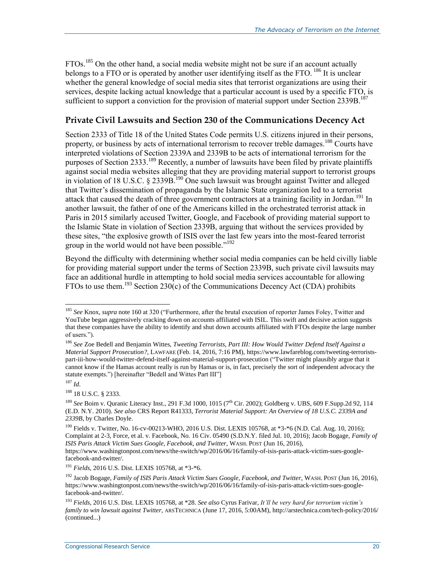FTOs.<sup>185</sup> On the other hand, a social media website might not be sure if an account actually belongs to a FTO or is operated by another user identifying itself as the FTO.<sup>186</sup> It is unclear whether the general knowledge of social media sites that terrorist organizations are using their services, despite lacking actual knowledge that a particular account is used by a specific FTO, is sufficient to support a conviction for the provision of material support under Section 2339B.<sup>187</sup>

#### **Private Civil Lawsuits and Section 230 of the Communications Decency Act**

Section 2333 of Title 18 of the United States Code permits U.S. citizens injured in their persons, property, or business by acts of international terrorism to recover treble damages.<sup>188</sup> Courts have interpreted violations of Section 2339A and 2339B to be acts of international terrorism for the purposes of Section 2333.<sup>189</sup> Recently, a number of lawsuits have been filed by private plaintiffs against social media websites alleging that they are providing material support to terrorist groups in violation of 18 U.S.C. § 2339B.<sup>190</sup> One such lawsuit was brought against Twitter and alleged that Twitter's dissemination of propaganda by the Islamic State organization led to a terrorist attack that caused the death of three government contractors at a training facility in Jordan.<sup>191</sup> In another lawsuit, the father of one of the Americans killed in the orchestrated terrorist attack in Paris in 2015 similarly accused Twitter, Google, and Facebook of providing material support to the Islamic State in violation of Section 2339B, arguing that without the services provided by these sites, "the explosive growth of ISIS over the last few years into the most-feared terrorist group in the world would not have been possible."<sup>192</sup>

<span id="page-22-0"></span>Beyond the difficulty with determining whether social media companies can be held civilly liable for providing material support under the terms of Section 2339B, such private civil lawsuits may face an additional hurdle in attempting to hold social media services accountable for allowing FTOs to use them.<sup>193</sup> Section 230(c) of the Communications Decency Act (CDA) prohibits

<sup>185</sup> *See* Knox, *supra* note [160](#page-19-0) at 320 ("Furthermore, after the brutal execution of reporter James Foley, Twitter and YouTube began aggressively cracking down on accounts affiliated with ISIL. This swift and decisive action suggests that these companies have the ability to identify and shut down accounts affiliated with FTOs despite the large number of users.").

<sup>186</sup> *See* Zoe Bedell and Benjamin Wittes, *Tweeting Terrorists, Part III: How Would Twitter Defend Itself Against a Material Support Prosecution?*, LAWFARE (Feb. 14, 2016, 7:16 PM), https://www.lawfareblog.com/tweeting-terroristspart-iii-how-would-twitter-defend-itself-against-material-support-prosecution ("Twitter might plausibly argue that it cannot know if the Hamas account really is run by Hamas or is, in fact, precisely the sort of independent advocacy the statute exempts.") [hereinafter "Bedell and Wittes Part III"]

 $187$  *Id.* 

<sup>188</sup> 18 U.S.C. § 2333.

<sup>&</sup>lt;sup>189</sup> *See* Boim v. Quranic Literacy Inst., 291 F.3d 1000, 1015 (7<sup>th</sup> Cir. 2002); Goldberg v. UBS, 609 F.Supp.2d 92, 114 (E.D. N.Y. 2010). *See also* CRS Report R41333, *Terrorist Material Support: An Overview of 18 U.S.C. 2339A and 2339B*, by Charles Doyle.

<sup>190</sup> Fields v. Twitter, No. 16-cv-00213-WHO, 2016 U.S. Dist. LEXIS 105768, at \*3-\*6 (N.D. Cal. Aug. 10, 2016); Complaint at 2-3, Force, et al. v. Facebook, No. 16 Civ. 05490 (S.D.N.Y. filed Jul. 10, 2016); Jacob Bogage, *Family of ISIS Paris Attack Victim Sues Google, Facebook, and Twitter*, WASH. POST (Jun 16, 2016), https://www.washingtonpost.com/news/the-switch/wp/2016/06/16/family-of-isis-paris-attack-victim-sues-googlefacebook-and-twitter/.

<sup>191</sup> *Fields*, 2016 U.S. Dist. LEXIS 105768, at \*3-\*6.

<sup>192</sup> Jacob Bogage, *Family of ISIS Paris Attack Victim Sues Google, Facebook, and Twitter*, WASH. POST (Jun 16, 2016), https://www.washingtonpost.com/news/the-switch/wp/2016/06/16/family-of-isis-paris-attack-victim-sues-googlefacebook-and-twitter/.

<sup>193</sup> *Fields*, 2016 U.S. Dist. LEXIS 105768, at \*28. *See also* Cyrus Farivar, *It'll be very hard for terrorism victim's family to win lawsuit against Twitter*, ARSTECHNICA (June 17, 2016, 5:00AM), http://arstechnica.com/tech-policy/2016/ (continued...)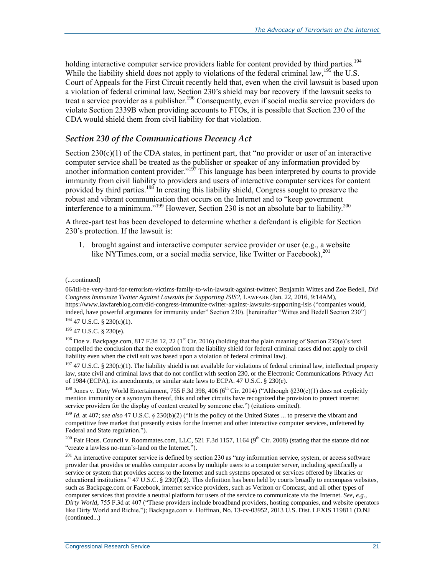holding interactive computer service providers liable for content provided by third parties.<sup>194</sup> While the liability shield does not apply to violations of the federal criminal law,  $^{195}$  the U.S. Court of Appeals for the First Circuit recently held that, even when the civil lawsuit is based upon a violation of federal criminal law, Section 230's shield may bar recovery if the lawsuit seeks to treat a service provider as a publisher. <sup>196</sup> Consequently, even if social media service providers do violate Section 2339B when providing accounts to FTOs, it is possible that Section 230 of the CDA would shield them from civil liability for that violation.

#### *Section 230 of the Communications Decency Act*

Section  $230(c)(1)$  of the CDA states, in pertinent part, that "no provider or user of an interactive computer service shall be treated as the publisher or speaker of any information provided by another information content provider."<sup>197</sup> This language has been interpreted by courts to provide immunity from civil liability to providers and users of interactive computer services for content provided by third parties.<sup>198</sup> In creating this liability shield, Congress sought to preserve the robust and vibrant communication that occurs on the Internet and to "keep government interference to a minimum."<sup>199</sup> However, Section 230 is not an absolute bar to liability.<sup>200</sup>

A three-part test has been developed to determine whether a defendant is eligible for Section 230's protection. If the lawsuit is:

1. brought against and interactive computer service provider or user (e.g., a website like NYTimes.com, or a social media service, like Twitter or Facebook),<sup>201</sup>

(...continued)

l

<sup>194</sup> 47 U.S.C. § 230(c)(1).

<sup>195</sup> 47 U.S.C. § 230(e).

<sup>198</sup> Jones v. Dirty World Entertainment, 755 F.3d 398, 406 (6<sup>th</sup> Cir. 2014) ("Although §230(c)(1) does not explicitly mention immunity or a synonym thereof, this and other circuits have recognized the provision to protect internet service providers for the display of content created by someone else.") (citations omitted).

<sup>199</sup> *Id*. at 407; *see also* 47 U.S.C. § 230(b)(2) ("It is the policy of the United States ... to preserve the vibrant and competitive free market that presently exists for the Internet and other interactive computer services, unfettered by Federal and State regulation.").

<sup>200</sup> Fair Hous. Council v. Roommates.com, LLC, 521 F.3d 1157, 1164 (9<sup>th</sup> Cir. 2008) (stating that the statute did not "create a lawless no-man's-land on the Internet.").

<sup>201</sup> An interactive computer service is defined by section 230 as "any information service, system, or access software provider that provides or enables computer access by multiple users to a computer server, including specifically a service or system that provides access to the Internet and such systems operated or services offered by libraries or educational institutions."  $47$  U.S.C. § 230(f)(2). This definition has been held by courts broadly to encompass websites, such as Backpage.com or Facebook, internet service providers, such as Verizon or Comcast, and all other types of computer services that provide a neutral platform for users of the service to communicate via the Internet. *See, e.g., Dirty World*, 755 F.3d at 407 ("These providers include broadband providers, hosting companies, and website operators like Dirty World and Richie."); Backpage.com v. Hoffman, No. 13-cv-03952, 2013 U.S. Dist. LEXIS 119811 (D.NJ (continued...)

<sup>06/</sup>itll-be-very-hard-for-terrorism-victims-family-to-win-lawsuit-against-twitter/; Benjamin Wittes and Zoe Bedell, *Did Congress Immunize Twitter Against Lawsuits for Supporting ISIS?*, LAWFARE (Jan. 22, 2016, 9:14AM), https://www.lawfareblog.com/did-congress-immunize-twitter-against-lawsuits-supporting-isis ("companies would, indeed, have powerful arguments for immunity under" Section 230). [hereinafter "Wittes and Bedell Section 230"]

<sup>&</sup>lt;sup>196</sup> Doe v. Backpage.com, 817 F.3d 12, 22 (1<sup>st</sup> Cir. 2016) (holding that the plain meaning of Section 230(e)'s text compelled the conclusion that the exception from the liability shield for federal criminal cases did not apply to civil liability even when the civil suit was based upon a violation of federal criminal law).

<sup>&</sup>lt;sup>197</sup> 47 U.S.C. § 230(c)(1). The liability shield is not available for violations of federal criminal law, intellectual property law, state civil and criminal laws that do not conflict with section 230, or the Electronic Communications Privacy Act of 1984 (ECPA), its amendments, or similar state laws to ECPA. 47 U.S.C. § 230(e).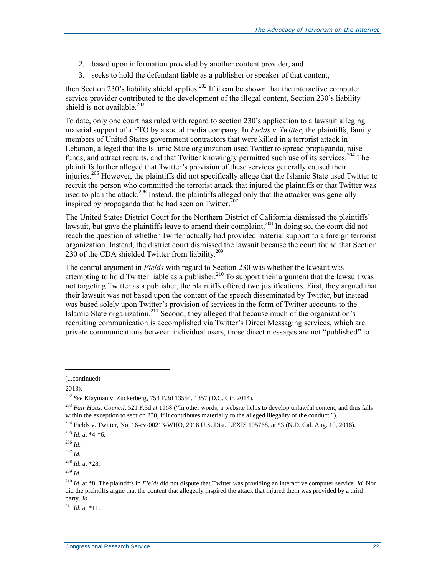- 2. based upon information provided by another content provider, and
- 3. seeks to hold the defendant liable as a publisher or speaker of that content,

then Section 230's liability shield applies.<sup>202</sup> If it can be shown that the interactive computer service provider contributed to the development of the illegal content, Section 230's liability shield is not available.<sup>203</sup>

To date, only one court has ruled with regard to section 230's application to a lawsuit alleging material support of a FTO by a social media company. In *Fields v. Twitter*, the plaintiffs, family members of United States government contractors that were killed in a terrorist attack in Lebanon, alleged that the Islamic State organization used Twitter to spread propaganda, raise funds, and attract recruits, and that Twitter knowingly permitted such use of its services.<sup>204</sup> The plaintiffs further alleged that Twitter's provision of these services generally caused their injuries.<sup>205</sup> However, the plaintiffs did not specifically allege that the Islamic State used Twitter to recruit the person who committed the terrorist attack that injured the plaintiffs or that Twitter was used to plan the attack.<sup>206</sup> Instead, the plaintiffs alleged only that the attacker was generally inspired by propaganda that he had seen on Twitter. $207$ 

The United States District Court for the Northern District of California dismissed the plaintiffs' lawsuit, but gave the plaintiffs leave to amend their complaint.<sup>208</sup> In doing so, the court did not reach the question of whether Twitter actually had provided material support to a foreign terrorist organization. Instead, the district court dismissed the lawsuit because the court found that Section 230 of the CDA shielded Twitter from liability.<sup>209</sup>

The central argument in *Fields* with regard to Section 230 was whether the lawsuit was attempting to hold Twitter liable as a publisher.<sup>210</sup> To support their argument that the lawsuit was not targeting Twitter as a publisher, the plaintiffs offered two justifications. First, they argued that their lawsuit was not based upon the content of the speech disseminated by Twitter, but instead was based solely upon Twitter's provision of services in the form of Twitter accounts to the Islamic State organization.<sup>211</sup> Second, they alleged that because much of the organization's recruiting communication is accomplished via Twitter's Direct Messaging services, which are private communications between individual users, those direct messages are not "published" to

2013).

 $\overline{a}$ 

 $^{211}$  *Id.* at \*11.

<sup>(...</sup>continued)

<sup>202</sup> *See* Klayman v. Zuckerberg, 753 F.3d 13554, 1357 (D.C. Cir. 2014).

<sup>203</sup> *Fair Hous. Council*, 521 F.3d at 1168 ("In other words, a website helps to develop unlawful content, and thus falls within the exception to section 230, if it contributes materially to the alleged illegality of the conduct.").

<sup>204</sup> Fields v. Twitter, No. 16-cv-00213-WHO, 2016 U.S. Dist. LEXIS 105768, at \*3 (N.D. Cal. Aug. 10, 2016).

 $^{205}$  *Id.* at  $*4-*6$ .

<sup>206</sup> *Id*.

<sup>207</sup> *Id*.

<sup>208</sup> *Id*. at \*28.

<sup>209</sup> *Id*.

<sup>210</sup> *Id*. at \*8. The plaintiffs in *Fields* did not dispute that Twitter was providing an interactive computer service. *Id.* Nor did the plaintiffs argue that the content that allegedly inspired the attack that injured them was provided by a third party. *Id.*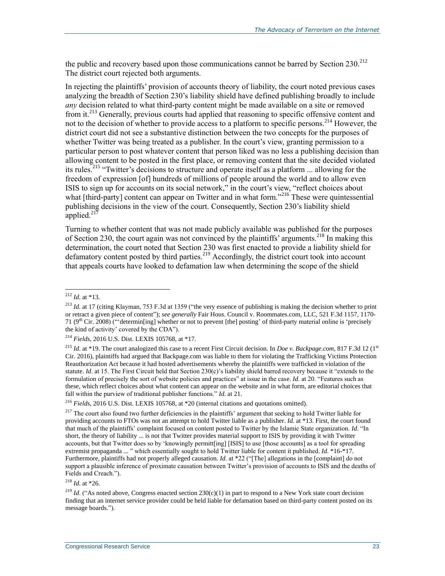the public and recovery based upon those communications cannot be barred by Section 230.<sup>212</sup> The district court rejected both arguments.

In rejecting the plaintiffs' provision of accounts theory of liability, the court noted previous cases analyzing the breadth of Section 230's liability shield have defined publishing broadly to include *any* decision related to what third-party content might be made available on a site or removed from it.<sup>213</sup> Generally, previous courts had applied that reasoning to specific offensive content and not to the decision of whether to provide access to a platform to specific persons.<sup>214</sup> However, the district court did not see a substantive distinction between the two concepts for the purposes of whether Twitter was being treated as a publisher. In the court's view, granting permission to a particular person to post whatever content that person liked was no less a publishing decision than allowing content to be posted in the first place, or removing content that the site decided violated its rules.<sup>215</sup> "Twitter's decisions to structure and operate itself as a platform ... allowing for the freedom of expression [of] hundreds of millions of people around the world and to allow even ISIS to sign up for accounts on its social network," in the court's view, "reflect choices about what [third-party] content can appear on Twitter and in what form."<sup>216</sup> These were quintessential publishing decisions in the view of the court. Consequently, Section 230's liability shield applied. $217$ 

Turning to whether content that was not made publicly available was published for the purposes of Section 230, the court again was not convinced by the plaintiffs' arguments.<sup>218</sup> In making this determination, the court noted that Section 230 was first enacted to provide a liability shield for defamatory content posted by third parties.<sup>219</sup> Accordingly, the district court took into account that appeals courts have looked to defamation law when determining the scope of the shield

 $\overline{a}$ 

<sup>218</sup> *Id*. at \*26.

<sup>212</sup> *Id*. at \*13.

<sup>&</sup>lt;sup>213</sup> *Id.* at 17 (citing Klayman, 753 F.3d at 1359 ("the very essence of publishing is making the decision whether to print or retract a given piece of content"); *see generally* Fair Hous. Council v. Roommates.com, LLC, 521 F.3d 1157, 1170- 71 ( $9<sup>th</sup>$  Cir. 2008) ("determining] whether or not to prevent [the] posting' of third-party material online is 'precisely the kind of activity' covered by the CDA").

<sup>214</sup> *Fields*, 2016 U.S. Dist. LEXIS 105768, at \*17.

<sup>&</sup>lt;sup>215</sup> *Id.* at \*19. The court analogized this case to a recent First Circuit decision. In *Doe v. Backpage.com*, 817 F.3d 12 (1<sup>st</sup>) Cir. 2016), plaintiffs had argued that Backpage.com was liable to them for violating the Trafficking Victims Protection Reauthorization Act because it had hosted advertisements whereby the plaintiffs were trafficked in violation of the statute. *Id*. at 15. The First Circuit held that Section 230(c)'s liability shield barred recovery because it "extends to the formulation of precisely the sort of website policies and practices" at issue in the case. *Id*. at 20. "Features such as these, which reflect choices about what content can appear on the website and in what form, are editorial choices that fall within the purview of traditional publisher functions." *Id*. at 21.

<sup>216</sup> *Fields*, 2016 U.S. Dist. LEXIS 105768, at \*20 (internal citations and quotations omitted).

<sup>&</sup>lt;sup>217</sup> The court also found two further deficiencies in the plaintiffs' argument that seeking to hold Twitter liable for providing accounts to FTOs was not an attempt to hold Twitter liable as a publisher. *Id*. at \*13. First, the court found that much of the plaintiffs' complaint focused on content posted to Twitter by the Islamic State organization. *Id*. "In short, the theory of liability ... is not that Twitter provides material support to ISIS by providing it with Twitter accounts, but that Twitter does so by 'knowingly permitt[ing] [ISIS] to use [those accounts] as a tool for spreading extremist propaganda ... " which essentially sought to hold Twitter liable for content it published. *Id*. \*16-\*17. Furthermore, plaintiffs had not properly alleged causation. *Id*. at \*22 ("[The] allegations in the [complaint] do not support a plausible inference of proximate causation between Twitter's provision of accounts to ISIS and the deaths of Fields and Creach.").

<sup>&</sup>lt;sup>219</sup> *Id.* ("As noted above, Congress enacted section  $230(c)(1)$  in part to respond to a New York state court decision finding that an internet service provider could be held liable for defamation based on third-party content posted on its message boards.").